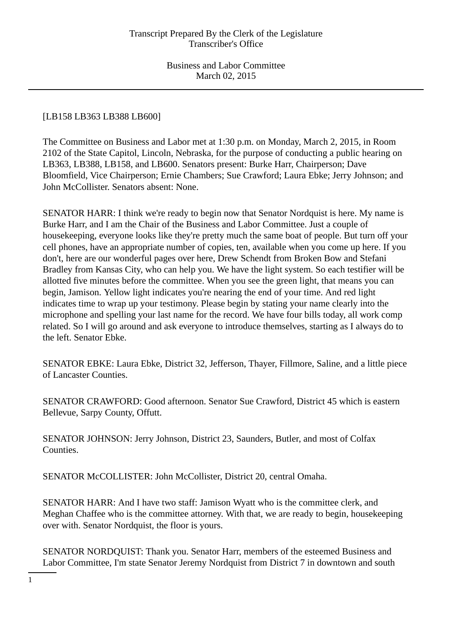# [LB158 LB363 LB388 LB600]

The Committee on Business and Labor met at 1:30 p.m. on Monday, March 2, 2015, in Room 2102 of the State Capitol, Lincoln, Nebraska, for the purpose of conducting a public hearing on LB363, LB388, LB158, and LB600. Senators present: Burke Harr, Chairperson; Dave Bloomfield, Vice Chairperson; Ernie Chambers; Sue Crawford; Laura Ebke; Jerry Johnson; and John McCollister. Senators absent: None.

SENATOR HARR: I think we're ready to begin now that Senator Nordquist is here. My name is Burke Harr, and I am the Chair of the Business and Labor Committee. Just a couple of housekeeping, everyone looks like they're pretty much the same boat of people. But turn off your cell phones, have an appropriate number of copies, ten, available when you come up here. If you don't, here are our wonderful pages over here, Drew Schendt from Broken Bow and Stefani Bradley from Kansas City, who can help you. We have the light system. So each testifier will be allotted five minutes before the committee. When you see the green light, that means you can begin, Jamison. Yellow light indicates you're nearing the end of your time. And red light indicates time to wrap up your testimony. Please begin by stating your name clearly into the microphone and spelling your last name for the record. We have four bills today, all work comp related. So I will go around and ask everyone to introduce themselves, starting as I always do to the left. Senator Ebke.

SENATOR EBKE: Laura Ebke, District 32, Jefferson, Thayer, Fillmore, Saline, and a little piece of Lancaster Counties.

SENATOR CRAWFORD: Good afternoon. Senator Sue Crawford, District 45 which is eastern Bellevue, Sarpy County, Offutt.

SENATOR JOHNSON: Jerry Johnson, District 23, Saunders, Butler, and most of Colfax Counties.

SENATOR McCOLLISTER: John McCollister, District 20, central Omaha.

SENATOR HARR: And I have two staff: Jamison Wyatt who is the committee clerk, and Meghan Chaffee who is the committee attorney. With that, we are ready to begin, housekeeping over with. Senator Nordquist, the floor is yours.

SENATOR NORDQUIST: Thank you. Senator Harr, members of the esteemed Business and Labor Committee, I'm state Senator Jeremy Nordquist from District 7 in downtown and south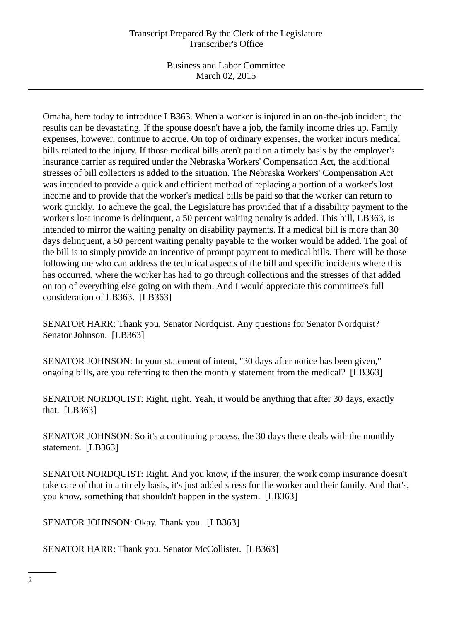## Transcript Prepared By the Clerk of the Legislature Transcriber's Office

Business and Labor Committee March 02, 2015

Omaha, here today to introduce LB363. When a worker is injured in an on-the-job incident, the results can be devastating. If the spouse doesn't have a job, the family income dries up. Family expenses, however, continue to accrue. On top of ordinary expenses, the worker incurs medical bills related to the injury. If those medical bills aren't paid on a timely basis by the employer's insurance carrier as required under the Nebraska Workers' Compensation Act, the additional stresses of bill collectors is added to the situation. The Nebraska Workers' Compensation Act was intended to provide a quick and efficient method of replacing a portion of a worker's lost income and to provide that the worker's medical bills be paid so that the worker can return to work quickly. To achieve the goal, the Legislature has provided that if a disability payment to the worker's lost income is delinquent, a 50 percent waiting penalty is added. This bill, LB363, is intended to mirror the waiting penalty on disability payments. If a medical bill is more than 30 days delinquent, a 50 percent waiting penalty payable to the worker would be added. The goal of the bill is to simply provide an incentive of prompt payment to medical bills. There will be those following me who can address the technical aspects of the bill and specific incidents where this has occurred, where the worker has had to go through collections and the stresses of that added on top of everything else going on with them. And I would appreciate this committee's full consideration of LB363. [LB363]

SENATOR HARR: Thank you, Senator Nordquist. Any questions for Senator Nordquist? Senator Johnson. [LB363]

SENATOR JOHNSON: In your statement of intent, "30 days after notice has been given," ongoing bills, are you referring to then the monthly statement from the medical? [LB363]

SENATOR NORDQUIST: Right, right. Yeah, it would be anything that after 30 days, exactly that. [LB363]

SENATOR JOHNSON: So it's a continuing process, the 30 days there deals with the monthly statement. [LB363]

SENATOR NORDQUIST: Right. And you know, if the insurer, the work comp insurance doesn't take care of that in a timely basis, it's just added stress for the worker and their family. And that's, you know, something that shouldn't happen in the system. [LB363]

SENATOR JOHNSON: Okay. Thank you. [LB363]

SENATOR HARR: Thank you. Senator McCollister. [LB363]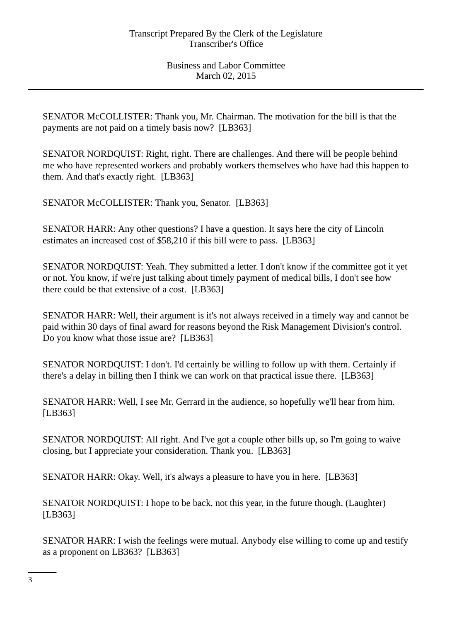SENATOR McCOLLISTER: Thank you, Mr. Chairman. The motivation for the bill is that the payments are not paid on a timely basis now? [LB363]

SENATOR NORDQUIST: Right, right. There are challenges. And there will be people behind me who have represented workers and probably workers themselves who have had this happen to them. And that's exactly right. [LB363]

SENATOR McCOLLISTER: Thank you, Senator. [LB363]

SENATOR HARR: Any other questions? I have a question. It says here the city of Lincoln estimates an increased cost of \$58,210 if this bill were to pass. [LB363]

SENATOR NORDQUIST: Yeah. They submitted a letter. I don't know if the committee got it yet or not. You know, if we're just talking about timely payment of medical bills, I don't see how there could be that extensive of a cost. [LB363]

SENATOR HARR: Well, their argument is it's not always received in a timely way and cannot be paid within 30 days of final award for reasons beyond the Risk Management Division's control. Do you know what those issue are? [LB363]

SENATOR NORDQUIST: I don't. I'd certainly be willing to follow up with them. Certainly if there's a delay in billing then I think we can work on that practical issue there. [LB363]

SENATOR HARR: Well, I see Mr. Gerrard in the audience, so hopefully we'll hear from him. [LB363]

SENATOR NORDQUIST: All right. And I've got a couple other bills up, so I'm going to waive closing, but I appreciate your consideration. Thank you. [LB363]

SENATOR HARR: Okay. Well, it's always a pleasure to have you in here. [LB363]

SENATOR NORDQUIST: I hope to be back, not this year, in the future though. (Laughter) [LB363]

SENATOR HARR: I wish the feelings were mutual. Anybody else willing to come up and testify as a proponent on LB363? [LB363]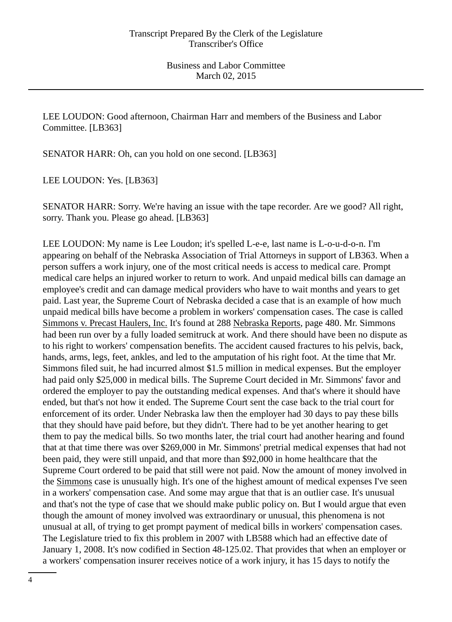LEE LOUDON: Good afternoon, Chairman Harr and members of the Business and Labor Committee. [LB363]

SENATOR HARR: Oh, can you hold on one second. [LB363]

LEE LOUDON: Yes. [LB363]

SENATOR HARR: Sorry. We're having an issue with the tape recorder. Are we good? All right, sorry. Thank you. Please go ahead. [LB363]

LEE LOUDON: My name is Lee Loudon; it's spelled L-e-e, last name is L-o-u-d-o-n. I'm appearing on behalf of the Nebraska Association of Trial Attorneys in support of LB363. When a person suffers a work injury, one of the most critical needs is access to medical care. Prompt medical care helps an injured worker to return to work. And unpaid medical bills can damage an employee's credit and can damage medical providers who have to wait months and years to get paid. Last year, the Supreme Court of Nebraska decided a case that is an example of how much unpaid medical bills have become a problem in workers' compensation cases. The case is called Simmons v. Precast Haulers, Inc. It's found at 288 Nebraska Reports, page 480. Mr. Simmons had been run over by a fully loaded semitruck at work. And there should have been no dispute as to his right to workers' compensation benefits. The accident caused fractures to his pelvis, back, hands, arms, legs, feet, ankles, and led to the amputation of his right foot. At the time that Mr. Simmons filed suit, he had incurred almost \$1.5 million in medical expenses. But the employer had paid only \$25,000 in medical bills. The Supreme Court decided in Mr. Simmons' favor and ordered the employer to pay the outstanding medical expenses. And that's where it should have ended, but that's not how it ended. The Supreme Court sent the case back to the trial court for enforcement of its order. Under Nebraska law then the employer had 30 days to pay these bills that they should have paid before, but they didn't. There had to be yet another hearing to get them to pay the medical bills. So two months later, the trial court had another hearing and found that at that time there was over \$269,000 in Mr. Simmons' pretrial medical expenses that had not been paid, they were still unpaid, and that more than \$92,000 in home healthcare that the Supreme Court ordered to be paid that still were not paid. Now the amount of money involved in the Simmons case is unusually high. It's one of the highest amount of medical expenses I've seen in a workers' compensation case. And some may argue that that is an outlier case. It's unusual and that's not the type of case that we should make public policy on. But I would argue that even though the amount of money involved was extraordinary or unusual, this phenomena is not unusual at all, of trying to get prompt payment of medical bills in workers' compensation cases. The Legislature tried to fix this problem in 2007 with LB588 which had an effective date of January 1, 2008. It's now codified in Section 48-125.02. That provides that when an employer or a workers' compensation insurer receives notice of a work injury, it has 15 days to notify the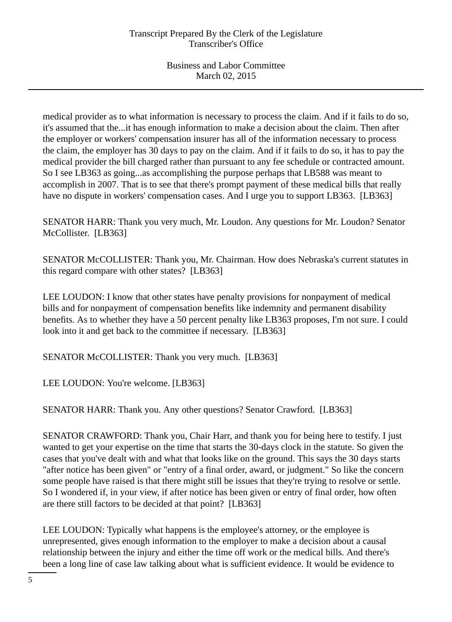medical provider as to what information is necessary to process the claim. And if it fails to do so, it's assumed that the...it has enough information to make a decision about the claim. Then after the employer or workers' compensation insurer has all of the information necessary to process the claim, the employer has 30 days to pay on the claim. And if it fails to do so, it has to pay the medical provider the bill charged rather than pursuant to any fee schedule or contracted amount. So I see LB363 as going...as accomplishing the purpose perhaps that LB588 was meant to accomplish in 2007. That is to see that there's prompt payment of these medical bills that really have no dispute in workers' compensation cases. And I urge you to support LB363. [LB363]

SENATOR HARR: Thank you very much, Mr. Loudon. Any questions for Mr. Loudon? Senator McCollister. [LB363]

SENATOR McCOLLISTER: Thank you, Mr. Chairman. How does Nebraska's current statutes in this regard compare with other states? [LB363]

LEE LOUDON: I know that other states have penalty provisions for nonpayment of medical bills and for nonpayment of compensation benefits like indemnity and permanent disability benefits. As to whether they have a 50 percent penalty like LB363 proposes, I'm not sure. I could look into it and get back to the committee if necessary. [LB363]

SENATOR McCOLLISTER: Thank you very much. [LB363]

LEE LOUDON: You're welcome. [LB363]

SENATOR HARR: Thank you. Any other questions? Senator Crawford. [LB363]

SENATOR CRAWFORD: Thank you, Chair Harr, and thank you for being here to testify. I just wanted to get your expertise on the time that starts the 30-days clock in the statute. So given the cases that you've dealt with and what that looks like on the ground. This says the 30 days starts "after notice has been given" or "entry of a final order, award, or judgment." So like the concern some people have raised is that there might still be issues that they're trying to resolve or settle. So I wondered if, in your view, if after notice has been given or entry of final order, how often are there still factors to be decided at that point? [LB363]

LEE LOUDON: Typically what happens is the employee's attorney, or the employee is unrepresented, gives enough information to the employer to make a decision about a causal relationship between the injury and either the time off work or the medical bills. And there's been a long line of case law talking about what is sufficient evidence. It would be evidence to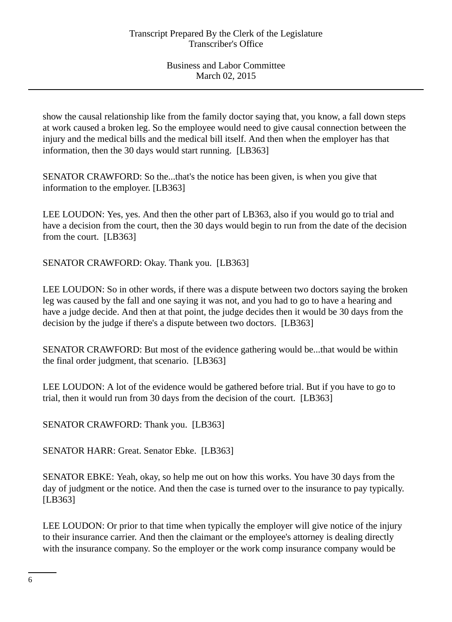show the causal relationship like from the family doctor saying that, you know, a fall down steps at work caused a broken leg. So the employee would need to give causal connection between the injury and the medical bills and the medical bill itself. And then when the employer has that information, then the 30 days would start running. [LB363]

SENATOR CRAWFORD: So the...that's the notice has been given, is when you give that information to the employer. [LB363]

LEE LOUDON: Yes, yes. And then the other part of LB363, also if you would go to trial and have a decision from the court, then the 30 days would begin to run from the date of the decision from the court. [LB363]

SENATOR CRAWFORD: Okay. Thank you. [LB363]

LEE LOUDON: So in other words, if there was a dispute between two doctors saying the broken leg was caused by the fall and one saying it was not, and you had to go to have a hearing and have a judge decide. And then at that point, the judge decides then it would be 30 days from the decision by the judge if there's a dispute between two doctors. [LB363]

SENATOR CRAWFORD: But most of the evidence gathering would be...that would be within the final order judgment, that scenario. [LB363]

LEE LOUDON: A lot of the evidence would be gathered before trial. But if you have to go to trial, then it would run from 30 days from the decision of the court. [LB363]

SENATOR CRAWFORD: Thank you. [LB363]

SENATOR HARR: Great. Senator Ebke. [LB363]

SENATOR EBKE: Yeah, okay, so help me out on how this works. You have 30 days from the day of judgment or the notice. And then the case is turned over to the insurance to pay typically. [LB363]

LEE LOUDON: Or prior to that time when typically the employer will give notice of the injury to their insurance carrier. And then the claimant or the employee's attorney is dealing directly with the insurance company. So the employer or the work comp insurance company would be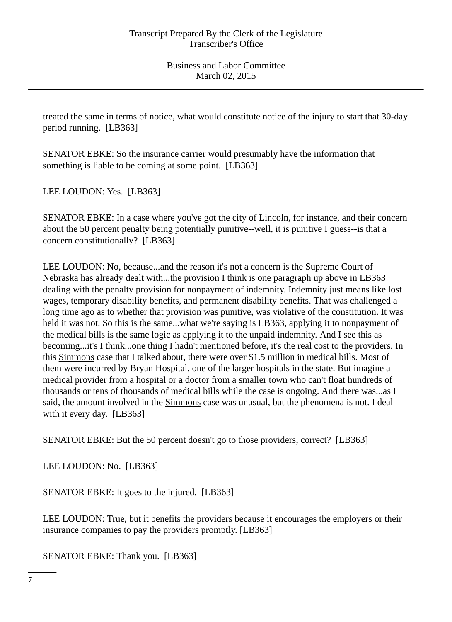treated the same in terms of notice, what would constitute notice of the injury to start that 30-day period running. [LB363]

SENATOR EBKE: So the insurance carrier would presumably have the information that something is liable to be coming at some point. [LB363]

LEE LOUDON: Yes. [LB363]

SENATOR EBKE: In a case where you've got the city of Lincoln, for instance, and their concern about the 50 percent penalty being potentially punitive--well, it is punitive I guess--is that a concern constitutionally? [LB363]

LEE LOUDON: No, because...and the reason it's not a concern is the Supreme Court of Nebraska has already dealt with...the provision I think is one paragraph up above in LB363 dealing with the penalty provision for nonpayment of indemnity. Indemnity just means like lost wages, temporary disability benefits, and permanent disability benefits. That was challenged a long time ago as to whether that provision was punitive, was violative of the constitution. It was held it was not. So this is the same...what we're saying is LB363, applying it to nonpayment of the medical bills is the same logic as applying it to the unpaid indemnity. And I see this as becoming...it's I think...one thing I hadn't mentioned before, it's the real cost to the providers. In this Simmons case that I talked about, there were over \$1.5 million in medical bills. Most of them were incurred by Bryan Hospital, one of the larger hospitals in the state. But imagine a medical provider from a hospital or a doctor from a smaller town who can't float hundreds of thousands or tens of thousands of medical bills while the case is ongoing. And there was...as I said, the amount involved in the Simmons case was unusual, but the phenomena is not. I deal with it every day. [LB363]

SENATOR EBKE: But the 50 percent doesn't go to those providers, correct? [LB363]

LEE LOUDON: No. [LB363]

SENATOR EBKE: It goes to the injured. [LB363]

LEE LOUDON: True, but it benefits the providers because it encourages the employers or their insurance companies to pay the providers promptly. [LB363]

SENATOR EBKE: Thank you. [LB363]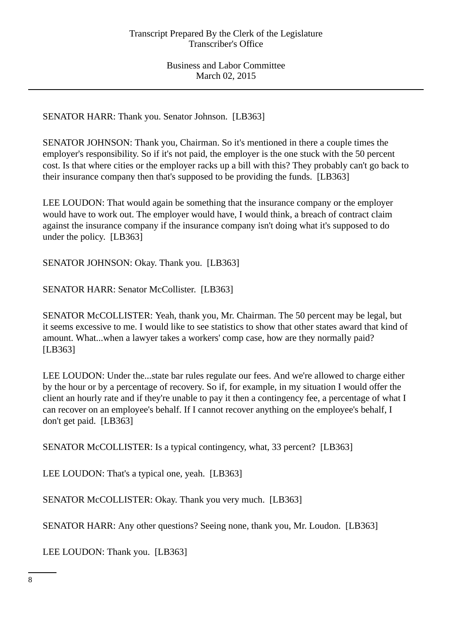SENATOR HARR: Thank you. Senator Johnson. [LB363]

SENATOR JOHNSON: Thank you, Chairman. So it's mentioned in there a couple times the employer's responsibility. So if it's not paid, the employer is the one stuck with the 50 percent cost. Is that where cities or the employer racks up a bill with this? They probably can't go back to their insurance company then that's supposed to be providing the funds. [LB363]

LEE LOUDON: That would again be something that the insurance company or the employer would have to work out. The employer would have, I would think, a breach of contract claim against the insurance company if the insurance company isn't doing what it's supposed to do under the policy. [LB363]

SENATOR JOHNSON: Okay. Thank you. [LB363]

SENATOR HARR: Senator McCollister. [LB363]

SENATOR McCOLLISTER: Yeah, thank you, Mr. Chairman. The 50 percent may be legal, but it seems excessive to me. I would like to see statistics to show that other states award that kind of amount. What...when a lawyer takes a workers' comp case, how are they normally paid? [LB363]

LEE LOUDON: Under the...state bar rules regulate our fees. And we're allowed to charge either by the hour or by a percentage of recovery. So if, for example, in my situation I would offer the client an hourly rate and if they're unable to pay it then a contingency fee, a percentage of what I can recover on an employee's behalf. If I cannot recover anything on the employee's behalf, I don't get paid. [LB363]

SENATOR McCOLLISTER: Is a typical contingency, what, 33 percent? [LB363]

LEE LOUDON: That's a typical one, yeah. [LB363]

SENATOR McCOLLISTER: Okay. Thank you very much. [LB363]

SENATOR HARR: Any other questions? Seeing none, thank you, Mr. Loudon. [LB363]

LEE LOUDON: Thank you. [LB363]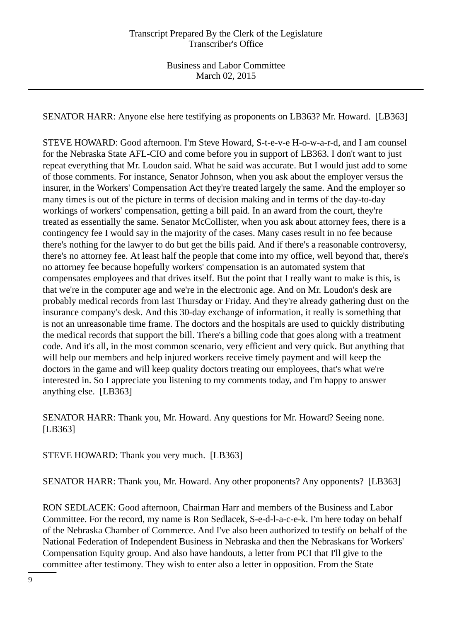SENATOR HARR: Anyone else here testifying as proponents on LB363? Mr. Howard. [LB363]

STEVE HOWARD: Good afternoon. I'm Steve Howard, S-t-e-v-e H-o-w-a-r-d, and I am counsel for the Nebraska State AFL-CIO and come before you in support of LB363. I don't want to just repeat everything that Mr. Loudon said. What he said was accurate. But I would just add to some of those comments. For instance, Senator Johnson, when you ask about the employer versus the insurer, in the Workers' Compensation Act they're treated largely the same. And the employer so many times is out of the picture in terms of decision making and in terms of the day-to-day workings of workers' compensation, getting a bill paid. In an award from the court, they're treated as essentially the same. Senator McCollister, when you ask about attorney fees, there is a contingency fee I would say in the majority of the cases. Many cases result in no fee because there's nothing for the lawyer to do but get the bills paid. And if there's a reasonable controversy, there's no attorney fee. At least half the people that come into my office, well beyond that, there's no attorney fee because hopefully workers' compensation is an automated system that compensates employees and that drives itself. But the point that I really want to make is this, is that we're in the computer age and we're in the electronic age. And on Mr. Loudon's desk are probably medical records from last Thursday or Friday. And they're already gathering dust on the insurance company's desk. And this 30-day exchange of information, it really is something that is not an unreasonable time frame. The doctors and the hospitals are used to quickly distributing the medical records that support the bill. There's a billing code that goes along with a treatment code. And it's all, in the most common scenario, very efficient and very quick. But anything that will help our members and help injured workers receive timely payment and will keep the doctors in the game and will keep quality doctors treating our employees, that's what we're interested in. So I appreciate you listening to my comments today, and I'm happy to answer anything else. [LB363]

SENATOR HARR: Thank you, Mr. Howard. Any questions for Mr. Howard? Seeing none. [LB363]

STEVE HOWARD: Thank you very much. [LB363]

SENATOR HARR: Thank you, Mr. Howard. Any other proponents? Any opponents? [LB363]

RON SEDLACEK: Good afternoon, Chairman Harr and members of the Business and Labor Committee. For the record, my name is Ron Sedlacek, S-e-d-l-a-c-e-k. I'm here today on behalf of the Nebraska Chamber of Commerce. And I've also been authorized to testify on behalf of the National Federation of Independent Business in Nebraska and then the Nebraskans for Workers' Compensation Equity group. And also have handouts, a letter from PCI that I'll give to the committee after testimony. They wish to enter also a letter in opposition. From the State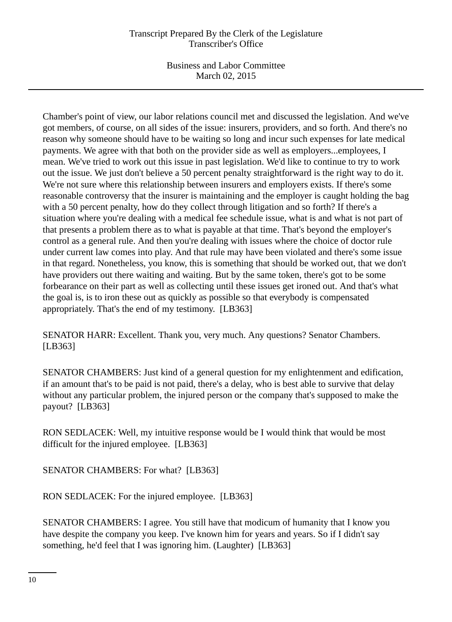## Transcript Prepared By the Clerk of the Legislature Transcriber's Office

Business and Labor Committee March 02, 2015

Chamber's point of view, our labor relations council met and discussed the legislation. And we've got members, of course, on all sides of the issue: insurers, providers, and so forth. And there's no reason why someone should have to be waiting so long and incur such expenses for late medical payments. We agree with that both on the provider side as well as employers...employees, I mean. We've tried to work out this issue in past legislation. We'd like to continue to try to work out the issue. We just don't believe a 50 percent penalty straightforward is the right way to do it. We're not sure where this relationship between insurers and employers exists. If there's some reasonable controversy that the insurer is maintaining and the employer is caught holding the bag with a 50 percent penalty, how do they collect through litigation and so forth? If there's a situation where you're dealing with a medical fee schedule issue, what is and what is not part of that presents a problem there as to what is payable at that time. That's beyond the employer's control as a general rule. And then you're dealing with issues where the choice of doctor rule under current law comes into play. And that rule may have been violated and there's some issue in that regard. Nonetheless, you know, this is something that should be worked out, that we don't have providers out there waiting and waiting. But by the same token, there's got to be some forbearance on their part as well as collecting until these issues get ironed out. And that's what the goal is, is to iron these out as quickly as possible so that everybody is compensated appropriately. That's the end of my testimony. [LB363]

SENATOR HARR: Excellent. Thank you, very much. Any questions? Senator Chambers. [LB363]

SENATOR CHAMBERS: Just kind of a general question for my enlightenment and edification, if an amount that's to be paid is not paid, there's a delay, who is best able to survive that delay without any particular problem, the injured person or the company that's supposed to make the payout? [LB363]

RON SEDLACEK: Well, my intuitive response would be I would think that would be most difficult for the injured employee. [LB363]

SENATOR CHAMBERS: For what? [LB363]

RON SEDLACEK: For the injured employee. [LB363]

SENATOR CHAMBERS: I agree. You still have that modicum of humanity that I know you have despite the company you keep. I've known him for years and years. So if I didn't say something, he'd feel that I was ignoring him. (Laughter) [LB363]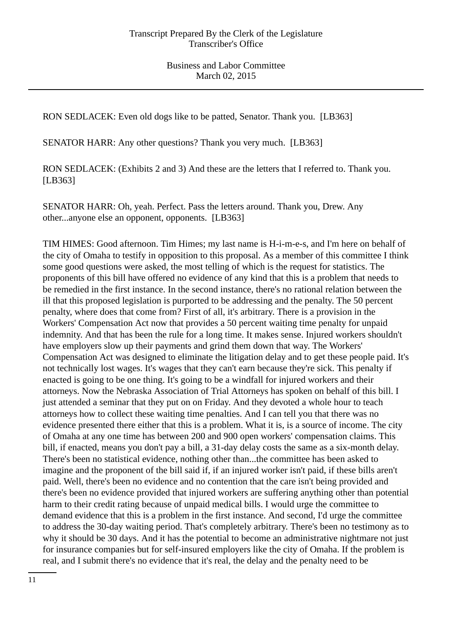RON SEDLACEK: Even old dogs like to be patted, Senator. Thank you. [LB363]

SENATOR HARR: Any other questions? Thank you very much. [LB363]

RON SEDLACEK: (Exhibits 2 and 3) And these are the letters that I referred to. Thank you. [LB363]

SENATOR HARR: Oh, yeah. Perfect. Pass the letters around. Thank you, Drew. Any other...anyone else an opponent, opponents. [LB363]

TIM HIMES: Good afternoon. Tim Himes; my last name is H-i-m-e-s, and I'm here on behalf of the city of Omaha to testify in opposition to this proposal. As a member of this committee I think some good questions were asked, the most telling of which is the request for statistics. The proponents of this bill have offered no evidence of any kind that this is a problem that needs to be remedied in the first instance. In the second instance, there's no rational relation between the ill that this proposed legislation is purported to be addressing and the penalty. The 50 percent penalty, where does that come from? First of all, it's arbitrary. There is a provision in the Workers' Compensation Act now that provides a 50 percent waiting time penalty for unpaid indemnity. And that has been the rule for a long time. It makes sense. Injured workers shouldn't have employers slow up their payments and grind them down that way. The Workers' Compensation Act was designed to eliminate the litigation delay and to get these people paid. It's not technically lost wages. It's wages that they can't earn because they're sick. This penalty if enacted is going to be one thing. It's going to be a windfall for injured workers and their attorneys. Now the Nebraska Association of Trial Attorneys has spoken on behalf of this bill. I just attended a seminar that they put on on Friday. And they devoted a whole hour to teach attorneys how to collect these waiting time penalties. And I can tell you that there was no evidence presented there either that this is a problem. What it is, is a source of income. The city of Omaha at any one time has between 200 and 900 open workers' compensation claims. This bill, if enacted, means you don't pay a bill, a 31-day delay costs the same as a six-month delay. There's been no statistical evidence, nothing other than...the committee has been asked to imagine and the proponent of the bill said if, if an injured worker isn't paid, if these bills aren't paid. Well, there's been no evidence and no contention that the care isn't being provided and there's been no evidence provided that injured workers are suffering anything other than potential harm to their credit rating because of unpaid medical bills. I would urge the committee to demand evidence that this is a problem in the first instance. And second, I'd urge the committee to address the 30-day waiting period. That's completely arbitrary. There's been no testimony as to why it should be 30 days. And it has the potential to become an administrative nightmare not just for insurance companies but for self-insured employers like the city of Omaha. If the problem is real, and I submit there's no evidence that it's real, the delay and the penalty need to be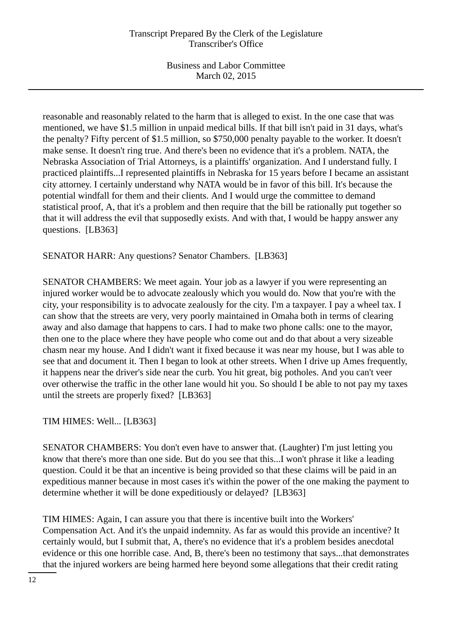## Transcript Prepared By the Clerk of the Legislature Transcriber's Office

Business and Labor Committee March 02, 2015

reasonable and reasonably related to the harm that is alleged to exist. In the one case that was mentioned, we have \$1.5 million in unpaid medical bills. If that bill isn't paid in 31 days, what's the penalty? Fifty percent of \$1.5 million, so \$750,000 penalty payable to the worker. It doesn't make sense. It doesn't ring true. And there's been no evidence that it's a problem. NATA, the Nebraska Association of Trial Attorneys, is a plaintiffs' organization. And I understand fully. I practiced plaintiffs...I represented plaintiffs in Nebraska for 15 years before I became an assistant city attorney. I certainly understand why NATA would be in favor of this bill. It's because the potential windfall for them and their clients. And I would urge the committee to demand statistical proof, A, that it's a problem and then require that the bill be rationally put together so that it will address the evil that supposedly exists. And with that, I would be happy answer any questions. [LB363]

SENATOR HARR: Any questions? Senator Chambers. [LB363]

SENATOR CHAMBERS: We meet again. Your job as a lawyer if you were representing an injured worker would be to advocate zealously which you would do. Now that you're with the city, your responsibility is to advocate zealously for the city. I'm a taxpayer. I pay a wheel tax. I can show that the streets are very, very poorly maintained in Omaha both in terms of clearing away and also damage that happens to cars. I had to make two phone calls: one to the mayor, then one to the place where they have people who come out and do that about a very sizeable chasm near my house. And I didn't want it fixed because it was near my house, but I was able to see that and document it. Then I began to look at other streets. When I drive up Ames frequently, it happens near the driver's side near the curb. You hit great, big potholes. And you can't veer over otherwise the traffic in the other lane would hit you. So should I be able to not pay my taxes until the streets are properly fixed? [LB363]

TIM HIMES: Well... [LB363]

SENATOR CHAMBERS: You don't even have to answer that. (Laughter) I'm just letting you know that there's more than one side. But do you see that this...I won't phrase it like a leading question. Could it be that an incentive is being provided so that these claims will be paid in an expeditious manner because in most cases it's within the power of the one making the payment to determine whether it will be done expeditiously or delayed? [LB363]

TIM HIMES: Again, I can assure you that there is incentive built into the Workers' Compensation Act. And it's the unpaid indemnity. As far as would this provide an incentive? It certainly would, but I submit that, A, there's no evidence that it's a problem besides anecdotal evidence or this one horrible case. And, B, there's been no testimony that says...that demonstrates that the injured workers are being harmed here beyond some allegations that their credit rating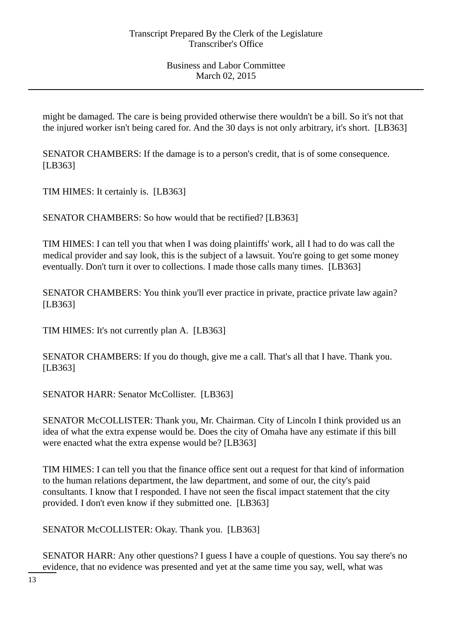might be damaged. The care is being provided otherwise there wouldn't be a bill. So it's not that the injured worker isn't being cared for. And the 30 days is not only arbitrary, it's short. [LB363]

SENATOR CHAMBERS: If the damage is to a person's credit, that is of some consequence. [LB363]

TIM HIMES: It certainly is. [LB363]

SENATOR CHAMBERS: So how would that be rectified? [LB363]

TIM HIMES: I can tell you that when I was doing plaintiffs' work, all I had to do was call the medical provider and say look, this is the subject of a lawsuit. You're going to get some money eventually. Don't turn it over to collections. I made those calls many times. [LB363]

SENATOR CHAMBERS: You think you'll ever practice in private, practice private law again? [LB363]

TIM HIMES: It's not currently plan A. [LB363]

SENATOR CHAMBERS: If you do though, give me a call. That's all that I have. Thank you. [LB363]

SENATOR HARR: Senator McCollister. [LB363]

SENATOR McCOLLISTER: Thank you, Mr. Chairman. City of Lincoln I think provided us an idea of what the extra expense would be. Does the city of Omaha have any estimate if this bill were enacted what the extra expense would be? [LB363]

TIM HIMES: I can tell you that the finance office sent out a request for that kind of information to the human relations department, the law department, and some of our, the city's paid consultants. I know that I responded. I have not seen the fiscal impact statement that the city provided. I don't even know if they submitted one. [LB363]

SENATOR McCOLLISTER: Okay. Thank you. [LB363]

SENATOR HARR: Any other questions? I guess I have a couple of questions. You say there's no evidence, that no evidence was presented and yet at the same time you say, well, what was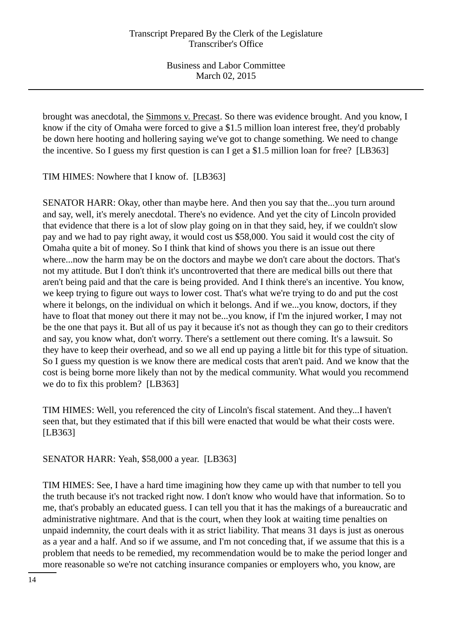brought was anecdotal, the Simmons v. Precast. So there was evidence brought. And you know, I know if the city of Omaha were forced to give a \$1.5 million loan interest free, they'd probably be down here hooting and hollering saying we've got to change something. We need to change the incentive. So I guess my first question is can I get a \$1.5 million loan for free? [LB363]

TIM HIMES: Nowhere that I know of. [LB363]

SENATOR HARR: Okay, other than maybe here. And then you say that the...you turn around and say, well, it's merely anecdotal. There's no evidence. And yet the city of Lincoln provided that evidence that there is a lot of slow play going on in that they said, hey, if we couldn't slow pay and we had to pay right away, it would cost us \$58,000. You said it would cost the city of Omaha quite a bit of money. So I think that kind of shows you there is an issue out there where...now the harm may be on the doctors and maybe we don't care about the doctors. That's not my attitude. But I don't think it's uncontroverted that there are medical bills out there that aren't being paid and that the care is being provided. And I think there's an incentive. You know, we keep trying to figure out ways to lower cost. That's what we're trying to do and put the cost where it belongs, on the individual on which it belongs. And if we...you know, doctors, if they have to float that money out there it may not be...you know, if I'm the injured worker, I may not be the one that pays it. But all of us pay it because it's not as though they can go to their creditors and say, you know what, don't worry. There's a settlement out there coming. It's a lawsuit. So they have to keep their overhead, and so we all end up paying a little bit for this type of situation. So I guess my question is we know there are medical costs that aren't paid. And we know that the cost is being borne more likely than not by the medical community. What would you recommend we do to fix this problem? [LB363]

TIM HIMES: Well, you referenced the city of Lincoln's fiscal statement. And they...I haven't seen that, but they estimated that if this bill were enacted that would be what their costs were. [LB363]

SENATOR HARR: Yeah, \$58,000 a year. [LB363]

TIM HIMES: See, I have a hard time imagining how they came up with that number to tell you the truth because it's not tracked right now. I don't know who would have that information. So to me, that's probably an educated guess. I can tell you that it has the makings of a bureaucratic and administrative nightmare. And that is the court, when they look at waiting time penalties on unpaid indemnity, the court deals with it as strict liability. That means 31 days is just as onerous as a year and a half. And so if we assume, and I'm not conceding that, if we assume that this is a problem that needs to be remedied, my recommendation would be to make the period longer and more reasonable so we're not catching insurance companies or employers who, you know, are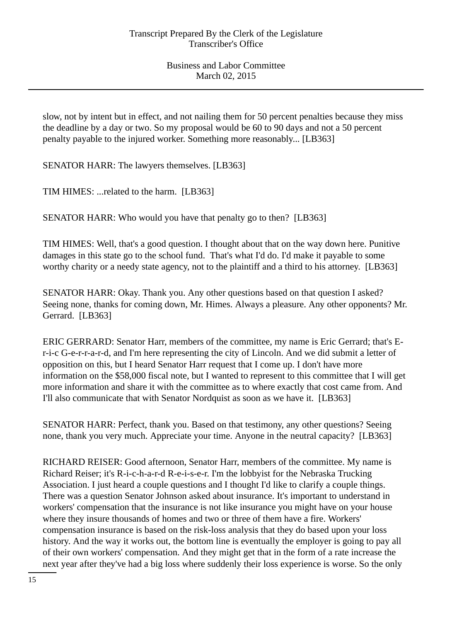slow, not by intent but in effect, and not nailing them for 50 percent penalties because they miss the deadline by a day or two. So my proposal would be 60 to 90 days and not a 50 percent penalty payable to the injured worker. Something more reasonably... [LB363]

SENATOR HARR: The lawyers themselves. [LB363]

TIM HIMES: ...related to the harm. [LB363]

SENATOR HARR: Who would you have that penalty go to then? [LB363]

TIM HIMES: Well, that's a good question. I thought about that on the way down here. Punitive damages in this state go to the school fund. That's what I'd do. I'd make it payable to some worthy charity or a needy state agency, not to the plaintiff and a third to his attorney. [LB363]

SENATOR HARR: Okay. Thank you. Any other questions based on that question I asked? Seeing none, thanks for coming down, Mr. Himes. Always a pleasure. Any other opponents? Mr. Gerrard. [LB363]

ERIC GERRARD: Senator Harr, members of the committee, my name is Eric Gerrard; that's Er-i-c G-e-r-r-a-r-d, and I'm here representing the city of Lincoln. And we did submit a letter of opposition on this, but I heard Senator Harr request that I come up. I don't have more information on the \$58,000 fiscal note, but I wanted to represent to this committee that I will get more information and share it with the committee as to where exactly that cost came from. And I'll also communicate that with Senator Nordquist as soon as we have it. [LB363]

SENATOR HARR: Perfect, thank you. Based on that testimony, any other questions? Seeing none, thank you very much. Appreciate your time. Anyone in the neutral capacity? [LB363]

RICHARD REISER: Good afternoon, Senator Harr, members of the committee. My name is Richard Reiser; it's R-i-c-h-a-r-d R-e-i-s-e-r. I'm the lobbyist for the Nebraska Trucking Association. I just heard a couple questions and I thought I'd like to clarify a couple things. There was a question Senator Johnson asked about insurance. It's important to understand in workers' compensation that the insurance is not like insurance you might have on your house where they insure thousands of homes and two or three of them have a fire. Workers' compensation insurance is based on the risk-loss analysis that they do based upon your loss history. And the way it works out, the bottom line is eventually the employer is going to pay all of their own workers' compensation. And they might get that in the form of a rate increase the next year after they've had a big loss where suddenly their loss experience is worse. So the only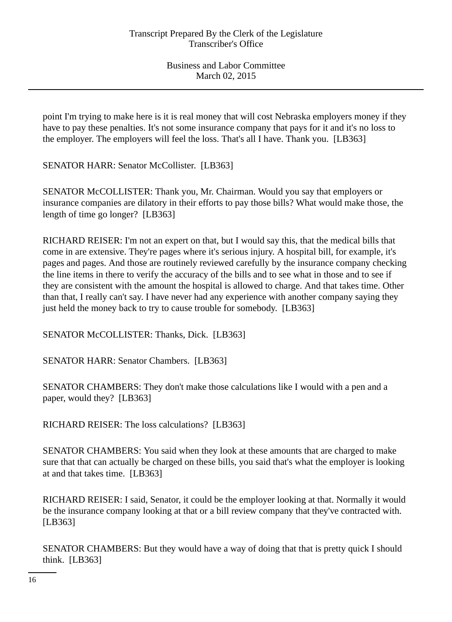point I'm trying to make here is it is real money that will cost Nebraska employers money if they have to pay these penalties. It's not some insurance company that pays for it and it's no loss to the employer. The employers will feel the loss. That's all I have. Thank you. [LB363]

SENATOR HARR: Senator McCollister. [LB363]

SENATOR McCOLLISTER: Thank you, Mr. Chairman. Would you say that employers or insurance companies are dilatory in their efforts to pay those bills? What would make those, the length of time go longer? [LB363]

RICHARD REISER: I'm not an expert on that, but I would say this, that the medical bills that come in are extensive. They're pages where it's serious injury. A hospital bill, for example, it's pages and pages. And those are routinely reviewed carefully by the insurance company checking the line items in there to verify the accuracy of the bills and to see what in those and to see if they are consistent with the amount the hospital is allowed to charge. And that takes time. Other than that, I really can't say. I have never had any experience with another company saying they just held the money back to try to cause trouble for somebody. [LB363]

SENATOR McCOLLISTER: Thanks, Dick. [LB363]

SENATOR HARR: Senator Chambers. [LB363]

SENATOR CHAMBERS: They don't make those calculations like I would with a pen and a paper, would they? [LB363]

RICHARD REISER: The loss calculations? [LB363]

SENATOR CHAMBERS: You said when they look at these amounts that are charged to make sure that that can actually be charged on these bills, you said that's what the employer is looking at and that takes time. [LB363]

RICHARD REISER: I said, Senator, it could be the employer looking at that. Normally it would be the insurance company looking at that or a bill review company that they've contracted with. [LB363]

SENATOR CHAMBERS: But they would have a way of doing that that is pretty quick I should think. [LB363]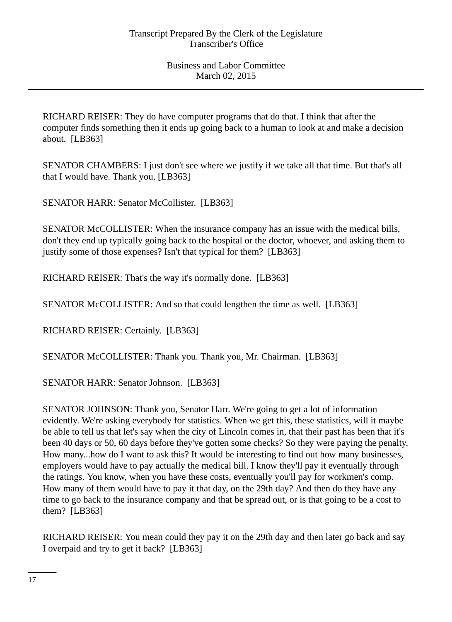RICHARD REISER: They do have computer programs that do that. I think that after the computer finds something then it ends up going back to a human to look at and make a decision about. [LB363]

SENATOR CHAMBERS: I just don't see where we justify if we take all that time. But that's all that I would have. Thank you. [LB363]

SENATOR HARR: Senator McCollister. [LB363]

SENATOR McCOLLISTER: When the insurance company has an issue with the medical bills, don't they end up typically going back to the hospital or the doctor, whoever, and asking them to justify some of those expenses? Isn't that typical for them? [LB363]

RICHARD REISER: That's the way it's normally done. [LB363]

SENATOR McCOLLISTER: And so that could lengthen the time as well. [LB363]

RICHARD REISER: Certainly. [LB363]

SENATOR McCOLLISTER: Thank you. Thank you, Mr. Chairman. [LB363]

SENATOR HARR: Senator Johnson. [LB363]

SENATOR JOHNSON: Thank you, Senator Harr. We're going to get a lot of information evidently. We're asking everybody for statistics. When we get this, these statistics, will it maybe be able to tell us that let's say when the city of Lincoln comes in, that their past has been that it's been 40 days or 50, 60 days before they've gotten some checks? So they were paying the penalty. How many...how do I want to ask this? It would be interesting to find out how many businesses, employers would have to pay actually the medical bill. I know they'll pay it eventually through the ratings. You know, when you have these costs, eventually you'll pay for workmen's comp. How many of them would have to pay it that day, on the 29th day? And then do they have any time to go back to the insurance company and that be spread out, or is that going to be a cost to them? [LB363]

RICHARD REISER: You mean could they pay it on the 29th day and then later go back and say I overpaid and try to get it back? [LB363]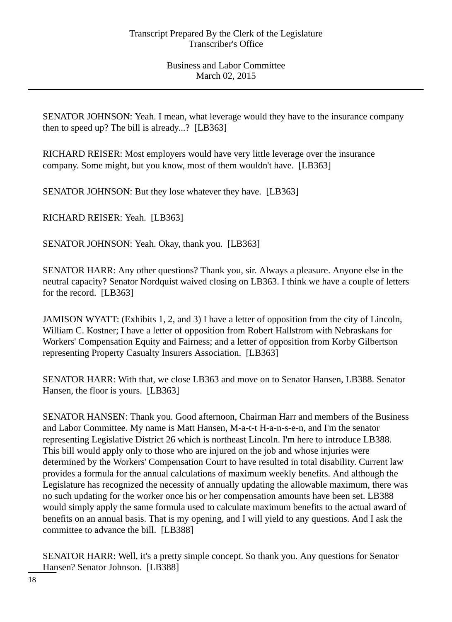SENATOR JOHNSON: Yeah. I mean, what leverage would they have to the insurance company then to speed up? The bill is already...? [LB363]

RICHARD REISER: Most employers would have very little leverage over the insurance company. Some might, but you know, most of them wouldn't have. [LB363]

SENATOR JOHNSON: But they lose whatever they have. [LB363]

RICHARD REISER: Yeah. [LB363]

SENATOR JOHNSON: Yeah. Okay, thank you. [LB363]

SENATOR HARR: Any other questions? Thank you, sir. Always a pleasure. Anyone else in the neutral capacity? Senator Nordquist waived closing on LB363. I think we have a couple of letters for the record. [LB363]

JAMISON WYATT: (Exhibits 1, 2, and 3) I have a letter of opposition from the city of Lincoln, William C. Kostner; I have a letter of opposition from Robert Hallstrom with Nebraskans for Workers' Compensation Equity and Fairness; and a letter of opposition from Korby Gilbertson representing Property Casualty Insurers Association. [LB363]

SENATOR HARR: With that, we close LB363 and move on to Senator Hansen, LB388. Senator Hansen, the floor is yours. [LB363]

SENATOR HANSEN: Thank you. Good afternoon, Chairman Harr and members of the Business and Labor Committee. My name is Matt Hansen, M-a-t-t H-a-n-s-e-n, and I'm the senator representing Legislative District 26 which is northeast Lincoln. I'm here to introduce LB388. This bill would apply only to those who are injured on the job and whose injuries were determined by the Workers' Compensation Court to have resulted in total disability. Current law provides a formula for the annual calculations of maximum weekly benefits. And although the Legislature has recognized the necessity of annually updating the allowable maximum, there was no such updating for the worker once his or her compensation amounts have been set. LB388 would simply apply the same formula used to calculate maximum benefits to the actual award of benefits on an annual basis. That is my opening, and I will yield to any questions. And I ask the committee to advance the bill. [LB388]

SENATOR HARR: Well, it's a pretty simple concept. So thank you. Any questions for Senator Hansen? Senator Johnson. [LB388]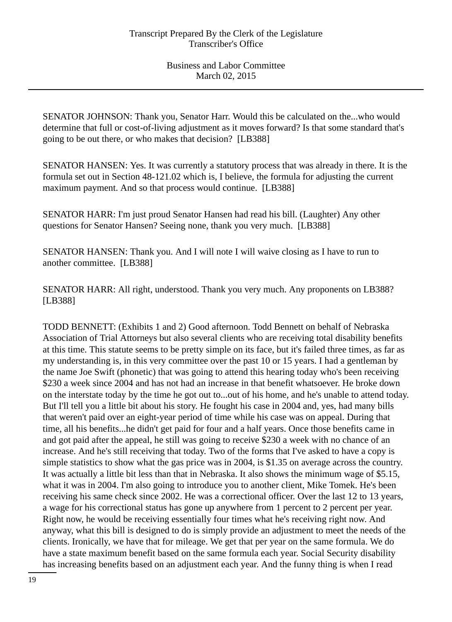SENATOR JOHNSON: Thank you, Senator Harr. Would this be calculated on the...who would determine that full or cost-of-living adjustment as it moves forward? Is that some standard that's going to be out there, or who makes that decision? [LB388]

SENATOR HANSEN: Yes. It was currently a statutory process that was already in there. It is the formula set out in Section 48-121.02 which is, I believe, the formula for adjusting the current maximum payment. And so that process would continue. [LB388]

SENATOR HARR: I'm just proud Senator Hansen had read his bill. (Laughter) Any other questions for Senator Hansen? Seeing none, thank you very much. [LB388]

SENATOR HANSEN: Thank you. And I will note I will waive closing as I have to run to another committee. [LB388]

SENATOR HARR: All right, understood. Thank you very much. Any proponents on LB388? [LB388]

TODD BENNETT: (Exhibits 1 and 2) Good afternoon. Todd Bennett on behalf of Nebraska Association of Trial Attorneys but also several clients who are receiving total disability benefits at this time. This statute seems to be pretty simple on its face, but it's failed three times, as far as my understanding is, in this very committee over the past 10 or 15 years. I had a gentleman by the name Joe Swift (phonetic) that was going to attend this hearing today who's been receiving \$230 a week since 2004 and has not had an increase in that benefit whatsoever. He broke down on the interstate today by the time he got out to...out of his home, and he's unable to attend today. But I'll tell you a little bit about his story. He fought his case in 2004 and, yes, had many bills that weren't paid over an eight-year period of time while his case was on appeal. During that time, all his benefits...he didn't get paid for four and a half years. Once those benefits came in and got paid after the appeal, he still was going to receive \$230 a week with no chance of an increase. And he's still receiving that today. Two of the forms that I've asked to have a copy is simple statistics to show what the gas price was in 2004, is \$1.35 on average across the country. It was actually a little bit less than that in Nebraska. It also shows the minimum wage of \$5.15, what it was in 2004. I'm also going to introduce you to another client, Mike Tomek. He's been receiving his same check since 2002. He was a correctional officer. Over the last 12 to 13 years, a wage for his correctional status has gone up anywhere from 1 percent to 2 percent per year. Right now, he would be receiving essentially four times what he's receiving right now. And anyway, what this bill is designed to do is simply provide an adjustment to meet the needs of the clients. Ironically, we have that for mileage. We get that per year on the same formula. We do have a state maximum benefit based on the same formula each year. Social Security disability has increasing benefits based on an adjustment each year. And the funny thing is when I read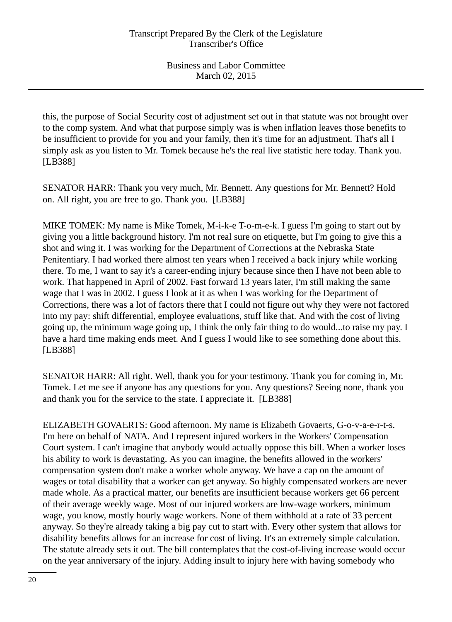this, the purpose of Social Security cost of adjustment set out in that statute was not brought over to the comp system. And what that purpose simply was is when inflation leaves those benefits to be insufficient to provide for you and your family, then it's time for an adjustment. That's all I simply ask as you listen to Mr. Tomek because he's the real live statistic here today. Thank you. [LB388]

SENATOR HARR: Thank you very much, Mr. Bennett. Any questions for Mr. Bennett? Hold on. All right, you are free to go. Thank you. [LB388]

MIKE TOMEK: My name is Mike Tomek, M-i-k-e T-o-m-e-k. I guess I'm going to start out by giving you a little background history. I'm not real sure on etiquette, but I'm going to give this a shot and wing it. I was working for the Department of Corrections at the Nebraska State Penitentiary. I had worked there almost ten years when I received a back injury while working there. To me, I want to say it's a career-ending injury because since then I have not been able to work. That happened in April of 2002. Fast forward 13 years later, I'm still making the same wage that I was in 2002. I guess I look at it as when I was working for the Department of Corrections, there was a lot of factors there that I could not figure out why they were not factored into my pay: shift differential, employee evaluations, stuff like that. And with the cost of living going up, the minimum wage going up, I think the only fair thing to do would...to raise my pay. I have a hard time making ends meet. And I guess I would like to see something done about this. [LB388]

SENATOR HARR: All right. Well, thank you for your testimony. Thank you for coming in, Mr. Tomek. Let me see if anyone has any questions for you. Any questions? Seeing none, thank you and thank you for the service to the state. I appreciate it. [LB388]

ELIZABETH GOVAERTS: Good afternoon. My name is Elizabeth Govaerts, G-o-v-a-e-r-t-s. I'm here on behalf of NATA. And I represent injured workers in the Workers' Compensation Court system. I can't imagine that anybody would actually oppose this bill. When a worker loses his ability to work is devastating. As you can imagine, the benefits allowed in the workers' compensation system don't make a worker whole anyway. We have a cap on the amount of wages or total disability that a worker can get anyway. So highly compensated workers are never made whole. As a practical matter, our benefits are insufficient because workers get 66 percent of their average weekly wage. Most of our injured workers are low-wage workers, minimum wage, you know, mostly hourly wage workers. None of them withhold at a rate of 33 percent anyway. So they're already taking a big pay cut to start with. Every other system that allows for disability benefits allows for an increase for cost of living. It's an extremely simple calculation. The statute already sets it out. The bill contemplates that the cost-of-living increase would occur on the year anniversary of the injury. Adding insult to injury here with having somebody who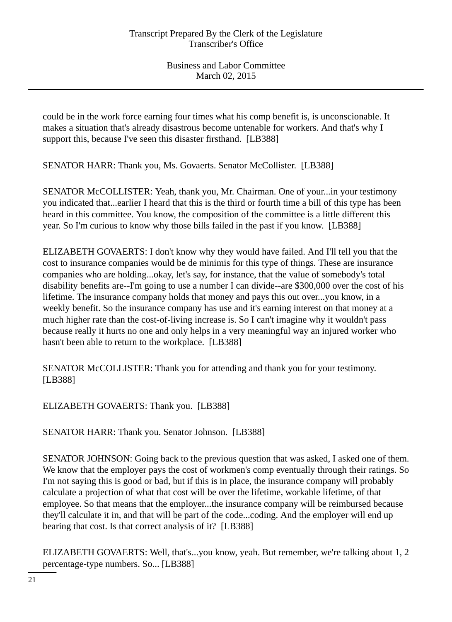could be in the work force earning four times what his comp benefit is, is unconscionable. It makes a situation that's already disastrous become untenable for workers. And that's why I support this, because I've seen this disaster firsthand. [LB388]

SENATOR HARR: Thank you, Ms. Govaerts. Senator McCollister. [LB388]

SENATOR McCOLLISTER: Yeah, thank you, Mr. Chairman. One of your...in your testimony you indicated that...earlier I heard that this is the third or fourth time a bill of this type has been heard in this committee. You know, the composition of the committee is a little different this year. So I'm curious to know why those bills failed in the past if you know. [LB388]

ELIZABETH GOVAERTS: I don't know why they would have failed. And I'll tell you that the cost to insurance companies would be de minimis for this type of things. These are insurance companies who are holding...okay, let's say, for instance, that the value of somebody's total disability benefits are--I'm going to use a number I can divide--are \$300,000 over the cost of his lifetime. The insurance company holds that money and pays this out over...you know, in a weekly benefit. So the insurance company has use and it's earning interest on that money at a much higher rate than the cost-of-living increase is. So I can't imagine why it wouldn't pass because really it hurts no one and only helps in a very meaningful way an injured worker who hasn't been able to return to the workplace. [LB388]

SENATOR McCOLLISTER: Thank you for attending and thank you for your testimony. [LB388]

ELIZABETH GOVAERTS: Thank you. [LB388]

SENATOR HARR: Thank you. Senator Johnson. [LB388]

SENATOR JOHNSON: Going back to the previous question that was asked, I asked one of them. We know that the employer pays the cost of workmen's comp eventually through their ratings. So I'm not saying this is good or bad, but if this is in place, the insurance company will probably calculate a projection of what that cost will be over the lifetime, workable lifetime, of that employee. So that means that the employer...the insurance company will be reimbursed because they'll calculate it in, and that will be part of the code...coding. And the employer will end up bearing that cost. Is that correct analysis of it? [LB388]

ELIZABETH GOVAERTS: Well, that's...you know, yeah. But remember, we're talking about 1, 2 percentage-type numbers. So... [LB388]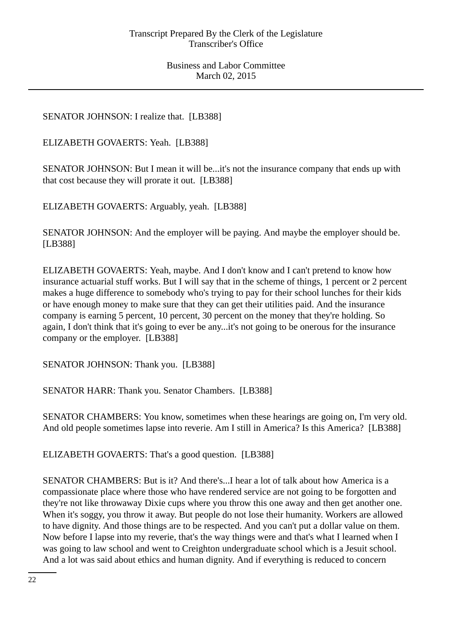# SENATOR JOHNSON: I realize that. [LB388]

ELIZABETH GOVAERTS: Yeah. [LB388]

SENATOR JOHNSON: But I mean it will be...it's not the insurance company that ends up with that cost because they will prorate it out. [LB388]

ELIZABETH GOVAERTS: Arguably, yeah. [LB388]

SENATOR JOHNSON: And the employer will be paying. And maybe the employer should be. [LB388]

ELIZABETH GOVAERTS: Yeah, maybe. And I don't know and I can't pretend to know how insurance actuarial stuff works. But I will say that in the scheme of things, 1 percent or 2 percent makes a huge difference to somebody who's trying to pay for their school lunches for their kids or have enough money to make sure that they can get their utilities paid. And the insurance company is earning 5 percent, 10 percent, 30 percent on the money that they're holding. So again, I don't think that it's going to ever be any...it's not going to be onerous for the insurance company or the employer. [LB388]

SENATOR JOHNSON: Thank you. [LB388]

SENATOR HARR: Thank you. Senator Chambers. [LB388]

SENATOR CHAMBERS: You know, sometimes when these hearings are going on, I'm very old. And old people sometimes lapse into reverie. Am I still in America? Is this America? [LB388]

ELIZABETH GOVAERTS: That's a good question. [LB388]

SENATOR CHAMBERS: But is it? And there's...I hear a lot of talk about how America is a compassionate place where those who have rendered service are not going to be forgotten and they're not like throwaway Dixie cups where you throw this one away and then get another one. When it's soggy, you throw it away. But people do not lose their humanity. Workers are allowed to have dignity. And those things are to be respected. And you can't put a dollar value on them. Now before I lapse into my reverie, that's the way things were and that's what I learned when I was going to law school and went to Creighton undergraduate school which is a Jesuit school. And a lot was said about ethics and human dignity. And if everything is reduced to concern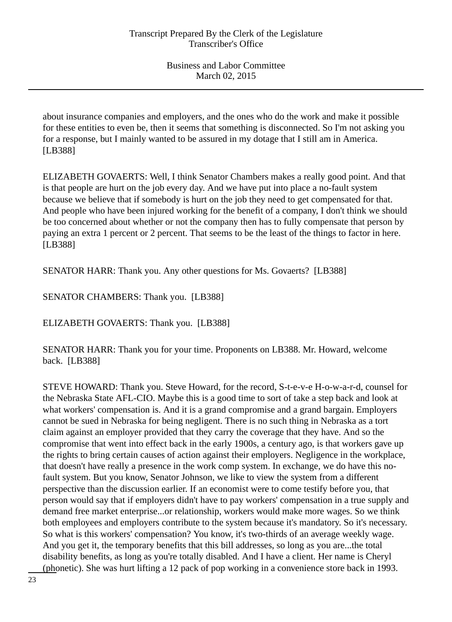about insurance companies and employers, and the ones who do the work and make it possible for these entities to even be, then it seems that something is disconnected. So I'm not asking you for a response, but I mainly wanted to be assured in my dotage that I still am in America. [LB388]

ELIZABETH GOVAERTS: Well, I think Senator Chambers makes a really good point. And that is that people are hurt on the job every day. And we have put into place a no-fault system because we believe that if somebody is hurt on the job they need to get compensated for that. And people who have been injured working for the benefit of a company, I don't think we should be too concerned about whether or not the company then has to fully compensate that person by paying an extra 1 percent or 2 percent. That seems to be the least of the things to factor in here. [LB388]

SENATOR HARR: Thank you. Any other questions for Ms. Govaerts? [LB388]

SENATOR CHAMBERS: Thank you. [LB388]

ELIZABETH GOVAERTS: Thank you. [LB388]

SENATOR HARR: Thank you for your time. Proponents on LB388. Mr. Howard, welcome back. [LB388]

STEVE HOWARD: Thank you. Steve Howard, for the record, S-t-e-v-e H-o-w-a-r-d, counsel for the Nebraska State AFL-CIO. Maybe this is a good time to sort of take a step back and look at what workers' compensation is. And it is a grand compromise and a grand bargain. Employers cannot be sued in Nebraska for being negligent. There is no such thing in Nebraska as a tort claim against an employer provided that they carry the coverage that they have. And so the compromise that went into effect back in the early 1900s, a century ago, is that workers gave up the rights to bring certain causes of action against their employers. Negligence in the workplace, that doesn't have really a presence in the work comp system. In exchange, we do have this nofault system. But you know, Senator Johnson, we like to view the system from a different perspective than the discussion earlier. If an economist were to come testify before you, that person would say that if employers didn't have to pay workers' compensation in a true supply and demand free market enterprise...or relationship, workers would make more wages. So we think both employees and employers contribute to the system because it's mandatory. So it's necessary. So what is this workers' compensation? You know, it's two-thirds of an average weekly wage. And you get it, the temporary benefits that this bill addresses, so long as you are...the total disability benefits, as long as you're totally disabled. And I have a client. Her name is Cheryl (phonetic). She was hurt lifting a 12 pack of pop working in a convenience store back in 1993.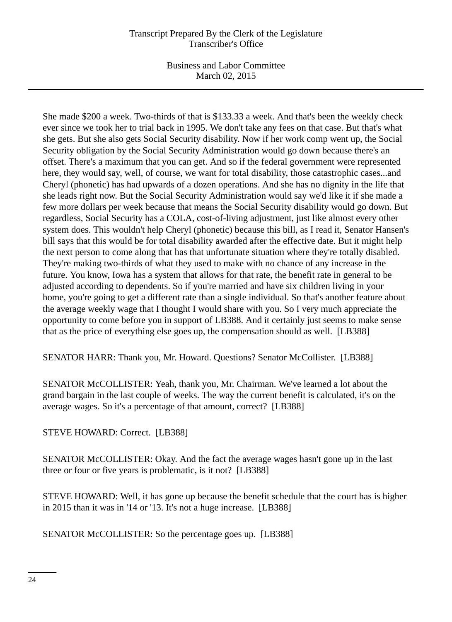## Transcript Prepared By the Clerk of the Legislature Transcriber's Office

Business and Labor Committee March 02, 2015

She made \$200 a week. Two-thirds of that is \$133.33 a week. And that's been the weekly check ever since we took her to trial back in 1995. We don't take any fees on that case. But that's what she gets. But she also gets Social Security disability. Now if her work comp went up, the Social Security obligation by the Social Security Administration would go down because there's an offset. There's a maximum that you can get. And so if the federal government were represented here, they would say, well, of course, we want for total disability, those catastrophic cases...and Cheryl (phonetic) has had upwards of a dozen operations. And she has no dignity in the life that she leads right now. But the Social Security Administration would say we'd like it if she made a few more dollars per week because that means the Social Security disability would go down. But regardless, Social Security has a COLA, cost-of-living adjustment, just like almost every other system does. This wouldn't help Cheryl (phonetic) because this bill, as I read it, Senator Hansen's bill says that this would be for total disability awarded after the effective date. But it might help the next person to come along that has that unfortunate situation where they're totally disabled. They're making two-thirds of what they used to make with no chance of any increase in the future. You know, Iowa has a system that allows for that rate, the benefit rate in general to be adjusted according to dependents. So if you're married and have six children living in your home, you're going to get a different rate than a single individual. So that's another feature about the average weekly wage that I thought I would share with you. So I very much appreciate the opportunity to come before you in support of LB388. And it certainly just seems to make sense that as the price of everything else goes up, the compensation should as well. [LB388]

SENATOR HARR: Thank you, Mr. Howard. Questions? Senator McCollister. [LB388]

SENATOR McCOLLISTER: Yeah, thank you, Mr. Chairman. We've learned a lot about the grand bargain in the last couple of weeks. The way the current benefit is calculated, it's on the average wages. So it's a percentage of that amount, correct? [LB388]

STEVE HOWARD: Correct. [LB388]

SENATOR McCOLLISTER: Okay. And the fact the average wages hasn't gone up in the last three or four or five years is problematic, is it not? [LB388]

STEVE HOWARD: Well, it has gone up because the benefit schedule that the court has is higher in 2015 than it was in '14 or '13. It's not a huge increase. [LB388]

SENATOR McCOLLISTER: So the percentage goes up. [LB388]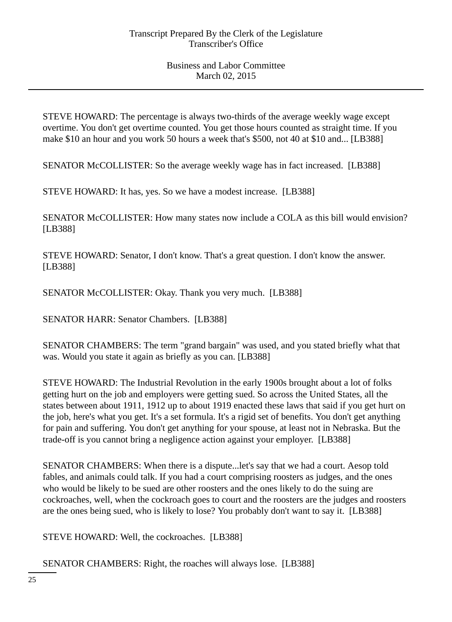STEVE HOWARD: The percentage is always two-thirds of the average weekly wage except overtime. You don't get overtime counted. You get those hours counted as straight time. If you make \$10 an hour and you work 50 hours a week that's \$500, not 40 at \$10 and... [LB388]

SENATOR McCOLLISTER: So the average weekly wage has in fact increased. [LB388]

STEVE HOWARD: It has, yes. So we have a modest increase. [LB388]

SENATOR McCOLLISTER: How many states now include a COLA as this bill would envision? [LB388]

STEVE HOWARD: Senator, I don't know. That's a great question. I don't know the answer. [LB388]

SENATOR McCOLLISTER: Okay. Thank you very much. [LB388]

SENATOR HARR: Senator Chambers. [LB388]

SENATOR CHAMBERS: The term "grand bargain" was used, and you stated briefly what that was. Would you state it again as briefly as you can. [LB388]

STEVE HOWARD: The Industrial Revolution in the early 1900s brought about a lot of folks getting hurt on the job and employers were getting sued. So across the United States, all the states between about 1911, 1912 up to about 1919 enacted these laws that said if you get hurt on the job, here's what you get. It's a set formula. It's a rigid set of benefits. You don't get anything for pain and suffering. You don't get anything for your spouse, at least not in Nebraska. But the trade-off is you cannot bring a negligence action against your employer. [LB388]

SENATOR CHAMBERS: When there is a dispute...let's say that we had a court. Aesop told fables, and animals could talk. If you had a court comprising roosters as judges, and the ones who would be likely to be sued are other roosters and the ones likely to do the suing are cockroaches, well, when the cockroach goes to court and the roosters are the judges and roosters are the ones being sued, who is likely to lose? You probably don't want to say it. [LB388]

STEVE HOWARD: Well, the cockroaches. [LB388]

SENATOR CHAMBERS: Right, the roaches will always lose. [LB388]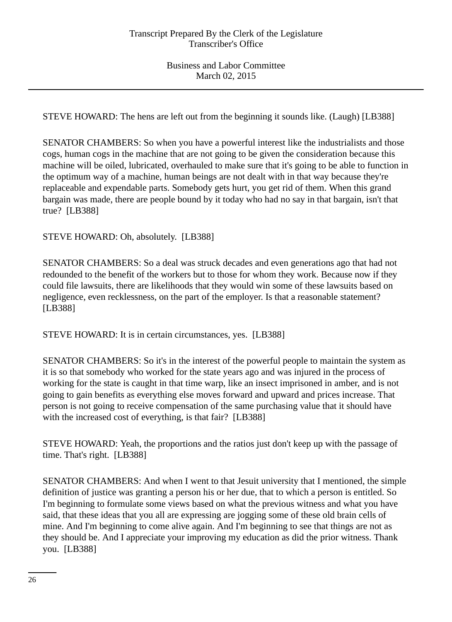STEVE HOWARD: The hens are left out from the beginning it sounds like. (Laugh) [LB388]

SENATOR CHAMBERS: So when you have a powerful interest like the industrialists and those cogs, human cogs in the machine that are not going to be given the consideration because this machine will be oiled, lubricated, overhauled to make sure that it's going to be able to function in the optimum way of a machine, human beings are not dealt with in that way because they're replaceable and expendable parts. Somebody gets hurt, you get rid of them. When this grand bargain was made, there are people bound by it today who had no say in that bargain, isn't that true? [LB388]

STEVE HOWARD: Oh, absolutely. [LB388]

SENATOR CHAMBERS: So a deal was struck decades and even generations ago that had not redounded to the benefit of the workers but to those for whom they work. Because now if they could file lawsuits, there are likelihoods that they would win some of these lawsuits based on negligence, even recklessness, on the part of the employer. Is that a reasonable statement? [LB388]

STEVE HOWARD: It is in certain circumstances, yes. [LB388]

SENATOR CHAMBERS: So it's in the interest of the powerful people to maintain the system as it is so that somebody who worked for the state years ago and was injured in the process of working for the state is caught in that time warp, like an insect imprisoned in amber, and is not going to gain benefits as everything else moves forward and upward and prices increase. That person is not going to receive compensation of the same purchasing value that it should have with the increased cost of everything, is that fair? [LB388]

STEVE HOWARD: Yeah, the proportions and the ratios just don't keep up with the passage of time. That's right. [LB388]

SENATOR CHAMBERS: And when I went to that Jesuit university that I mentioned, the simple definition of justice was granting a person his or her due, that to which a person is entitled. So I'm beginning to formulate some views based on what the previous witness and what you have said, that these ideas that you all are expressing are jogging some of these old brain cells of mine. And I'm beginning to come alive again. And I'm beginning to see that things are not as they should be. And I appreciate your improving my education as did the prior witness. Thank you. [LB388]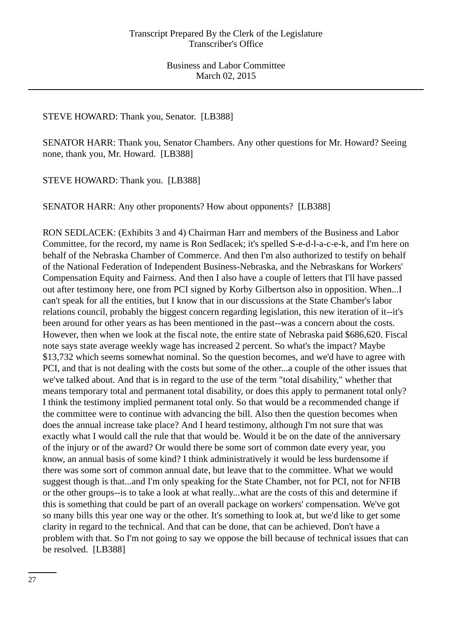## STEVE HOWARD: Thank you, Senator. [LB388]

SENATOR HARR: Thank you, Senator Chambers. Any other questions for Mr. Howard? Seeing none, thank you, Mr. Howard. [LB388]

STEVE HOWARD: Thank you. [LB388]

SENATOR HARR: Any other proponents? How about opponents? [LB388]

RON SEDLACEK: (Exhibits 3 and 4) Chairman Harr and members of the Business and Labor Committee, for the record, my name is Ron Sedlacek; it's spelled S-e-d-l-a-c-e-k, and I'm here on behalf of the Nebraska Chamber of Commerce. And then I'm also authorized to testify on behalf of the National Federation of Independent Business-Nebraska, and the Nebraskans for Workers' Compensation Equity and Fairness. And then I also have a couple of letters that I'll have passed out after testimony here, one from PCI signed by Korby Gilbertson also in opposition. When...I can't speak for all the entities, but I know that in our discussions at the State Chamber's labor relations council, probably the biggest concern regarding legislation, this new iteration of it--it's been around for other years as has been mentioned in the past--was a concern about the costs. However, then when we look at the fiscal note, the entire state of Nebraska paid \$686,620. Fiscal note says state average weekly wage has increased 2 percent. So what's the impact? Maybe \$13,732 which seems somewhat nominal. So the question becomes, and we'd have to agree with PCI, and that is not dealing with the costs but some of the other...a couple of the other issues that we've talked about. And that is in regard to the use of the term "total disability," whether that means temporary total and permanent total disability, or does this apply to permanent total only? I think the testimony implied permanent total only. So that would be a recommended change if the committee were to continue with advancing the bill. Also then the question becomes when does the annual increase take place? And I heard testimony, although I'm not sure that was exactly what I would call the rule that that would be. Would it be on the date of the anniversary of the injury or of the award? Or would there be some sort of common date every year, you know, an annual basis of some kind? I think administratively it would be less burdensome if there was some sort of common annual date, but leave that to the committee. What we would suggest though is that...and I'm only speaking for the State Chamber, not for PCI, not for NFIB or the other groups--is to take a look at what really...what are the costs of this and determine if this is something that could be part of an overall package on workers' compensation. We've got so many bills this year one way or the other. It's something to look at, but we'd like to get some clarity in regard to the technical. And that can be done, that can be achieved. Don't have a problem with that. So I'm not going to say we oppose the bill because of technical issues that can be resolved. [LB388]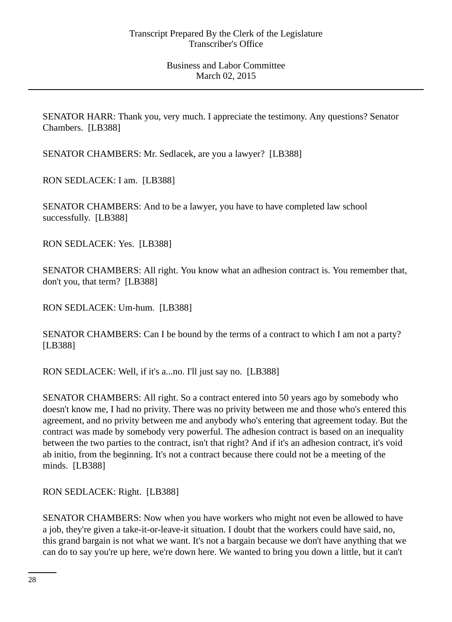SENATOR HARR: Thank you, very much. I appreciate the testimony. Any questions? Senator Chambers. [LB388]

SENATOR CHAMBERS: Mr. Sedlacek, are you a lawyer? [LB388]

RON SEDLACEK: I am. [LB388]

SENATOR CHAMBERS: And to be a lawyer, you have to have completed law school successfully. [LB388]

RON SEDLACEK: Yes. [LB388]

SENATOR CHAMBERS: All right. You know what an adhesion contract is. You remember that, don't you, that term? [LB388]

RON SEDLACEK: Um-hum. [LB388]

SENATOR CHAMBERS: Can I be bound by the terms of a contract to which I am not a party? [LB388]

RON SEDLACEK: Well, if it's a...no. I'll just say no. [LB388]

SENATOR CHAMBERS: All right. So a contract entered into 50 years ago by somebody who doesn't know me, I had no privity. There was no privity between me and those who's entered this agreement, and no privity between me and anybody who's entering that agreement today. But the contract was made by somebody very powerful. The adhesion contract is based on an inequality between the two parties to the contract, isn't that right? And if it's an adhesion contract, it's void ab initio, from the beginning. It's not a contract because there could not be a meeting of the minds. [LB388]

RON SEDLACEK: Right. [LB388]

SENATOR CHAMBERS: Now when you have workers who might not even be allowed to have a job, they're given a take-it-or-leave-it situation. I doubt that the workers could have said, no, this grand bargain is not what we want. It's not a bargain because we don't have anything that we can do to say you're up here, we're down here. We wanted to bring you down a little, but it can't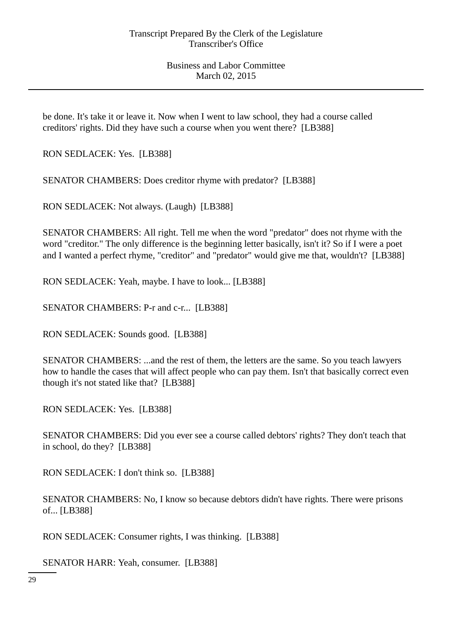be done. It's take it or leave it. Now when I went to law school, they had a course called creditors' rights. Did they have such a course when you went there? [LB388]

RON SEDLACEK: Yes. [LB388]

SENATOR CHAMBERS: Does creditor rhyme with predator? [LB388]

RON SEDLACEK: Not always. (Laugh) [LB388]

SENATOR CHAMBERS: All right. Tell me when the word "predator" does not rhyme with the word "creditor." The only difference is the beginning letter basically, isn't it? So if I were a poet and I wanted a perfect rhyme, "creditor" and "predator" would give me that, wouldn't? [LB388]

RON SEDLACEK: Yeah, maybe. I have to look... [LB388]

SENATOR CHAMBERS: P-r and c-r... [LB388]

RON SEDLACEK: Sounds good. [LB388]

SENATOR CHAMBERS: ...and the rest of them, the letters are the same. So you teach lawyers how to handle the cases that will affect people who can pay them. Isn't that basically correct even though it's not stated like that? [LB388]

RON SEDLACEK: Yes. [LB388]

SENATOR CHAMBERS: Did you ever see a course called debtors' rights? They don't teach that in school, do they? [LB388]

RON SEDLACEK: I don't think so. [LB388]

SENATOR CHAMBERS: No, I know so because debtors didn't have rights. There were prisons of... [LB388]

RON SEDLACEK: Consumer rights, I was thinking. [LB388]

SENATOR HARR: Yeah, consumer. [LB388]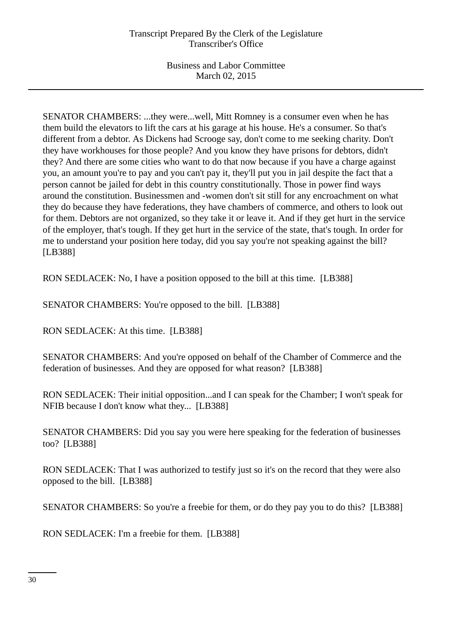SENATOR CHAMBERS: ...they were...well, Mitt Romney is a consumer even when he has them build the elevators to lift the cars at his garage at his house. He's a consumer. So that's different from a debtor. As Dickens had Scrooge say, don't come to me seeking charity. Don't they have workhouses for those people? And you know they have prisons for debtors, didn't they? And there are some cities who want to do that now because if you have a charge against you, an amount you're to pay and you can't pay it, they'll put you in jail despite the fact that a person cannot be jailed for debt in this country constitutionally. Those in power find ways around the constitution. Businessmen and -women don't sit still for any encroachment on what they do because they have federations, they have chambers of commerce, and others to look out for them. Debtors are not organized, so they take it or leave it. And if they get hurt in the service of the employer, that's tough. If they get hurt in the service of the state, that's tough. In order for me to understand your position here today, did you say you're not speaking against the bill? [LB388]

RON SEDLACEK: No, I have a position opposed to the bill at this time. [LB388]

SENATOR CHAMBERS: You're opposed to the bill. [LB388]

RON SEDLACEK: At this time. [LB388]

SENATOR CHAMBERS: And you're opposed on behalf of the Chamber of Commerce and the federation of businesses. And they are opposed for what reason? [LB388]

RON SEDLACEK: Their initial opposition...and I can speak for the Chamber; I won't speak for NFIB because I don't know what they... [LB388]

SENATOR CHAMBERS: Did you say you were here speaking for the federation of businesses too? [LB388]

RON SEDLACEK: That I was authorized to testify just so it's on the record that they were also opposed to the bill. [LB388]

SENATOR CHAMBERS: So you're a freebie for them, or do they pay you to do this? [LB388]

RON SEDLACEK: I'm a freebie for them. [LB388]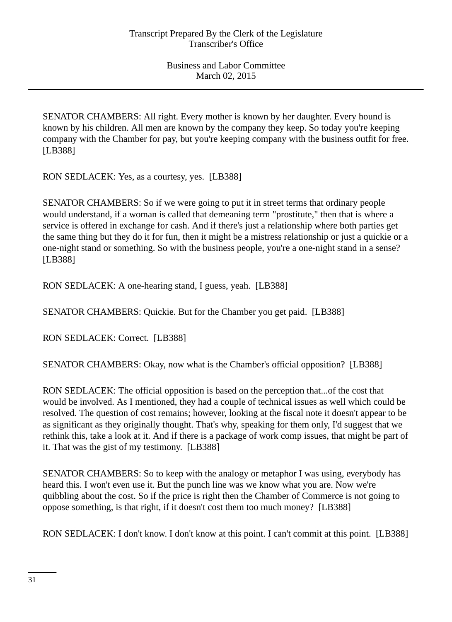SENATOR CHAMBERS: All right. Every mother is known by her daughter. Every hound is known by his children. All men are known by the company they keep. So today you're keeping company with the Chamber for pay, but you're keeping company with the business outfit for free. [LB388]

RON SEDLACEK: Yes, as a courtesy, yes. [LB388]

SENATOR CHAMBERS: So if we were going to put it in street terms that ordinary people would understand, if a woman is called that demeaning term "prostitute," then that is where a service is offered in exchange for cash. And if there's just a relationship where both parties get the same thing but they do it for fun, then it might be a mistress relationship or just a quickie or a one-night stand or something. So with the business people, you're a one-night stand in a sense? [LB388]

RON SEDLACEK: A one-hearing stand, I guess, yeah. [LB388]

SENATOR CHAMBERS: Quickie. But for the Chamber you get paid. [LB388]

RON SEDLACEK: Correct. [LB388]

SENATOR CHAMBERS: Okay, now what is the Chamber's official opposition? [LB388]

RON SEDLACEK: The official opposition is based on the perception that...of the cost that would be involved. As I mentioned, they had a couple of technical issues as well which could be resolved. The question of cost remains; however, looking at the fiscal note it doesn't appear to be as significant as they originally thought. That's why, speaking for them only, I'd suggest that we rethink this, take a look at it. And if there is a package of work comp issues, that might be part of it. That was the gist of my testimony. [LB388]

SENATOR CHAMBERS: So to keep with the analogy or metaphor I was using, everybody has heard this. I won't even use it. But the punch line was we know what you are. Now we're quibbling about the cost. So if the price is right then the Chamber of Commerce is not going to oppose something, is that right, if it doesn't cost them too much money? [LB388]

RON SEDLACEK: I don't know. I don't know at this point. I can't commit at this point. [LB388]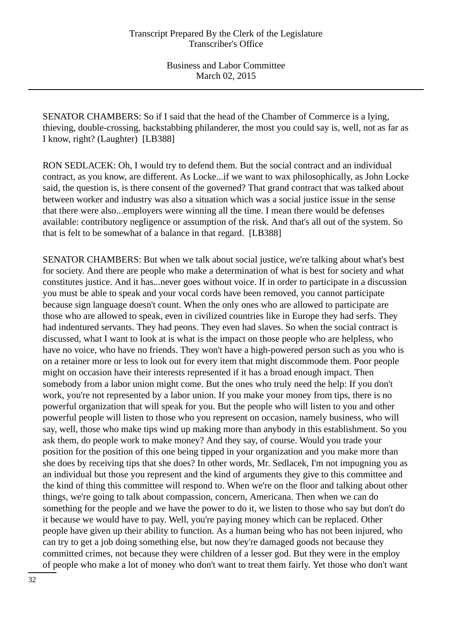SENATOR CHAMBERS: So if I said that the head of the Chamber of Commerce is a lying, thieving, double-crossing, backstabbing philanderer, the most you could say is, well, not as far as I know, right? (Laughter) [LB388]

RON SEDLACEK: Oh, I would try to defend them. But the social contract and an individual contract, as you know, are different. As Locke...if we want to wax philosophically, as John Locke said, the question is, is there consent of the governed? That grand contract that was talked about between worker and industry was also a situation which was a social justice issue in the sense that there were also...employers were winning all the time. I mean there would be defenses available: contributory negligence or assumption of the risk. And that's all out of the system. So that is felt to be somewhat of a balance in that regard. [LB388]

SENATOR CHAMBERS: But when we talk about social justice, we're talking about what's best for society. And there are people who make a determination of what is best for society and what constitutes justice. And it has...never goes without voice. If in order to participate in a discussion you must be able to speak and your vocal cords have been removed, you cannot participate because sign language doesn't count. When the only ones who are allowed to participate are those who are allowed to speak, even in civilized countries like in Europe they had serfs. They had indentured servants. They had peons. They even had slaves. So when the social contract is discussed, what I want to look at is what is the impact on those people who are helpless, who have no voice, who have no friends. They won't have a high-powered person such as you who is on a retainer more or less to look out for every item that might discommode them. Poor people might on occasion have their interests represented if it has a broad enough impact. Then somebody from a labor union might come. But the ones who truly need the help: If you don't work, you're not represented by a labor union. If you make your money from tips, there is no powerful organization that will speak for you. But the people who will listen to you and other powerful people will listen to those who you represent on occasion, namely business, who will say, well, those who make tips wind up making more than anybody in this establishment. So you ask them, do people work to make money? And they say, of course. Would you trade your position for the position of this one being tipped in your organization and you make more than she does by receiving tips that she does? In other words, Mr. Sedlacek, I'm not impugning you as an individual but those you represent and the kind of arguments they give to this committee and the kind of thing this committee will respond to. When we're on the floor and talking about other things, we're going to talk about compassion, concern, Americana. Then when we can do something for the people and we have the power to do it, we listen to those who say but don't do it because we would have to pay. Well, you're paying money which can be replaced. Other people have given up their ability to function. As a human being who has not been injured, who can try to get a job doing something else, but now they're damaged goods not because they committed crimes, not because they were children of a lesser god. But they were in the employ of people who make a lot of money who don't want to treat them fairly. Yet those who don't want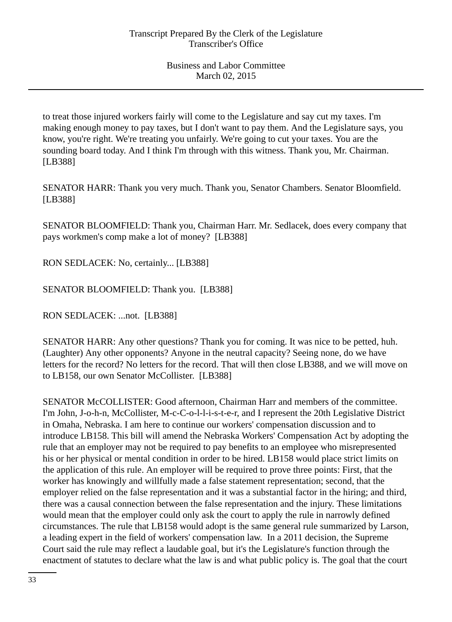to treat those injured workers fairly will come to the Legislature and say cut my taxes. I'm making enough money to pay taxes, but I don't want to pay them. And the Legislature says, you know, you're right. We're treating you unfairly. We're going to cut your taxes. You are the sounding board today. And I think I'm through with this witness. Thank you, Mr. Chairman. [LB388]

SENATOR HARR: Thank you very much. Thank you, Senator Chambers. Senator Bloomfield. [LB388]

SENATOR BLOOMFIELD: Thank you, Chairman Harr. Mr. Sedlacek, does every company that pays workmen's comp make a lot of money? [LB388]

RON SEDLACEK: No, certainly... [LB388]

SENATOR BLOOMFIELD: Thank you. [LB388]

RON SEDLACEK: ...not. [LB388]

SENATOR HARR: Any other questions? Thank you for coming. It was nice to be petted, huh. (Laughter) Any other opponents? Anyone in the neutral capacity? Seeing none, do we have letters for the record? No letters for the record. That will then close LB388, and we will move on to LB158, our own Senator McCollister. [LB388]

SENATOR McCOLLISTER: Good afternoon, Chairman Harr and members of the committee. I'm John, J-o-h-n, McCollister, M-c-C-o-l-l-i-s-t-e-r, and I represent the 20th Legislative District in Omaha, Nebraska. I am here to continue our workers' compensation discussion and to introduce LB158. This bill will amend the Nebraska Workers' Compensation Act by adopting the rule that an employer may not be required to pay benefits to an employee who misrepresented his or her physical or mental condition in order to be hired. LB158 would place strict limits on the application of this rule. An employer will be required to prove three points: First, that the worker has knowingly and willfully made a false statement representation; second, that the employer relied on the false representation and it was a substantial factor in the hiring; and third, there was a causal connection between the false representation and the injury. These limitations would mean that the employer could only ask the court to apply the rule in narrowly defined circumstances. The rule that LB158 would adopt is the same general rule summarized by Larson, a leading expert in the field of workers' compensation law. In a 2011 decision, the Supreme Court said the rule may reflect a laudable goal, but it's the Legislature's function through the enactment of statutes to declare what the law is and what public policy is. The goal that the court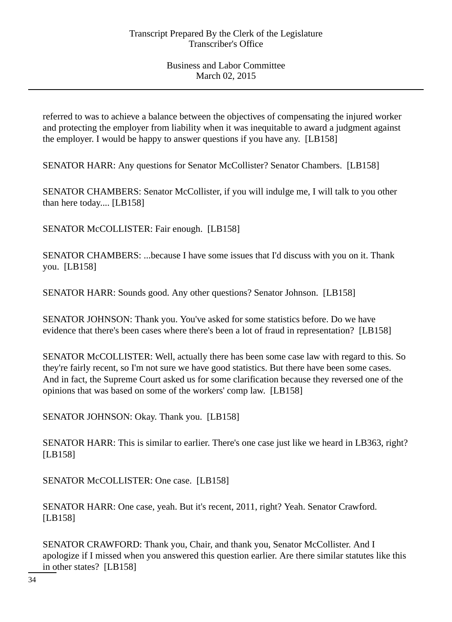referred to was to achieve a balance between the objectives of compensating the injured worker and protecting the employer from liability when it was inequitable to award a judgment against the employer. I would be happy to answer questions if you have any. [LB158]

SENATOR HARR: Any questions for Senator McCollister? Senator Chambers. [LB158]

SENATOR CHAMBERS: Senator McCollister, if you will indulge me, I will talk to you other than here today.... [LB158]

SENATOR McCOLLISTER: Fair enough. [LB158]

SENATOR CHAMBERS: ...because I have some issues that I'd discuss with you on it. Thank you. [LB158]

SENATOR HARR: Sounds good. Any other questions? Senator Johnson. [LB158]

SENATOR JOHNSON: Thank you. You've asked for some statistics before. Do we have evidence that there's been cases where there's been a lot of fraud in representation? [LB158]

SENATOR McCOLLISTER: Well, actually there has been some case law with regard to this. So they're fairly recent, so I'm not sure we have good statistics. But there have been some cases. And in fact, the Supreme Court asked us for some clarification because they reversed one of the opinions that was based on some of the workers' comp law. [LB158]

SENATOR JOHNSON: Okay. Thank you. [LB158]

SENATOR HARR: This is similar to earlier. There's one case just like we heard in LB363, right? [LB158]

SENATOR McCOLLISTER: One case. [LB158]

SENATOR HARR: One case, yeah. But it's recent, 2011, right? Yeah. Senator Crawford. [LB158]

SENATOR CRAWFORD: Thank you, Chair, and thank you, Senator McCollister. And I apologize if I missed when you answered this question earlier. Are there similar statutes like this in other states? [LB158]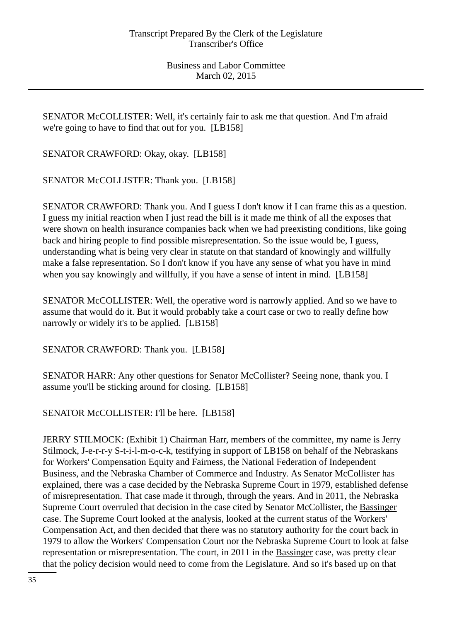SENATOR McCOLLISTER: Well, it's certainly fair to ask me that question. And I'm afraid we're going to have to find that out for you. [LB158]

SENATOR CRAWFORD: Okay, okay. [LB158]

SENATOR McCOLLISTER: Thank you. [LB158]

SENATOR CRAWFORD: Thank you. And I guess I don't know if I can frame this as a question. I guess my initial reaction when I just read the bill is it made me think of all the exposes that were shown on health insurance companies back when we had preexisting conditions, like going back and hiring people to find possible misrepresentation. So the issue would be, I guess, understanding what is being very clear in statute on that standard of knowingly and willfully make a false representation. So I don't know if you have any sense of what you have in mind when you say knowingly and willfully, if you have a sense of intent in mind. [LB158]

SENATOR McCOLLISTER: Well, the operative word is narrowly applied. And so we have to assume that would do it. But it would probably take a court case or two to really define how narrowly or widely it's to be applied. [LB158]

SENATOR CRAWFORD: Thank you. [LB158]

SENATOR HARR: Any other questions for Senator McCollister? Seeing none, thank you. I assume you'll be sticking around for closing. [LB158]

SENATOR McCOLLISTER: I'll be here. [LB158]

JERRY STILMOCK: (Exhibit 1) Chairman Harr, members of the committee, my name is Jerry Stilmock, J-e-r-r-y S-t-i-l-m-o-c-k, testifying in support of LB158 on behalf of the Nebraskans for Workers' Compensation Equity and Fairness, the National Federation of Independent Business, and the Nebraska Chamber of Commerce and Industry. As Senator McCollister has explained, there was a case decided by the Nebraska Supreme Court in 1979, established defense of misrepresentation. That case made it through, through the years. And in 2011, the Nebraska Supreme Court overruled that decision in the case cited by Senator McCollister, the Bassinger case. The Supreme Court looked at the analysis, looked at the current status of the Workers' Compensation Act, and then decided that there was no statutory authority for the court back in 1979 to allow the Workers' Compensation Court nor the Nebraska Supreme Court to look at false representation or misrepresentation. The court, in 2011 in the Bassinger case, was pretty clear that the policy decision would need to come from the Legislature. And so it's based up on that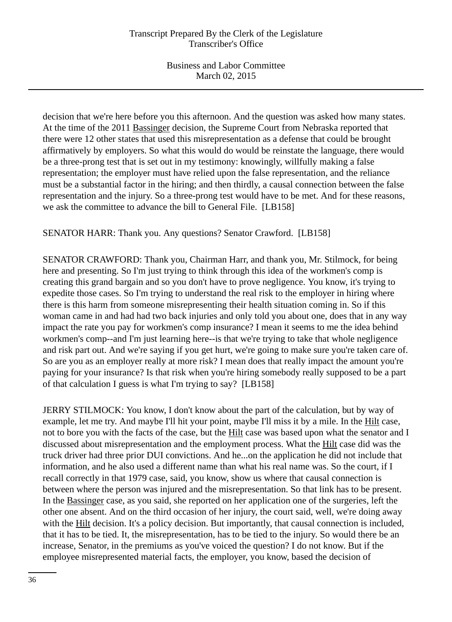decision that we're here before you this afternoon. And the question was asked how many states. At the time of the 2011 Bassinger decision, the Supreme Court from Nebraska reported that there were 12 other states that used this misrepresentation as a defense that could be brought affirmatively by employers. So what this would do would be reinstate the language, there would be a three-prong test that is set out in my testimony: knowingly, willfully making a false representation; the employer must have relied upon the false representation, and the reliance must be a substantial factor in the hiring; and then thirdly, a causal connection between the false representation and the injury. So a three-prong test would have to be met. And for these reasons, we ask the committee to advance the bill to General File. [LB158]

SENATOR HARR: Thank you. Any questions? Senator Crawford. [LB158]

SENATOR CRAWFORD: Thank you, Chairman Harr, and thank you, Mr. Stilmock, for being here and presenting. So I'm just trying to think through this idea of the workmen's comp is creating this grand bargain and so you don't have to prove negligence. You know, it's trying to expedite those cases. So I'm trying to understand the real risk to the employer in hiring where there is this harm from someone misrepresenting their health situation coming in. So if this woman came in and had had two back injuries and only told you about one, does that in any way impact the rate you pay for workmen's comp insurance? I mean it seems to me the idea behind workmen's comp--and I'm just learning here--is that we're trying to take that whole negligence and risk part out. And we're saying if you get hurt, we're going to make sure you're taken care of. So are you as an employer really at more risk? I mean does that really impact the amount you're paying for your insurance? Is that risk when you're hiring somebody really supposed to be a part of that calculation I guess is what I'm trying to say? [LB158]

JERRY STILMOCK: You know, I don't know about the part of the calculation, but by way of example, let me try. And maybe I'll hit your point, maybe I'll miss it by a mile. In the Hilt case, not to bore you with the facts of the case, but the Hilt case was based upon what the senator and I discussed about misrepresentation and the employment process. What the Hilt case did was the truck driver had three prior DUI convictions. And he...on the application he did not include that information, and he also used a different name than what his real name was. So the court, if I recall correctly in that 1979 case, said, you know, show us where that causal connection is between where the person was injured and the misrepresentation. So that link has to be present. In the Bassinger case, as you said, she reported on her application one of the surgeries, left the other one absent. And on the third occasion of her injury, the court said, well, we're doing away with the Hilt decision. It's a policy decision. But importantly, that causal connection is included, that it has to be tied. It, the misrepresentation, has to be tied to the injury. So would there be an increase, Senator, in the premiums as you've voiced the question? I do not know. But if the employee misrepresented material facts, the employer, you know, based the decision of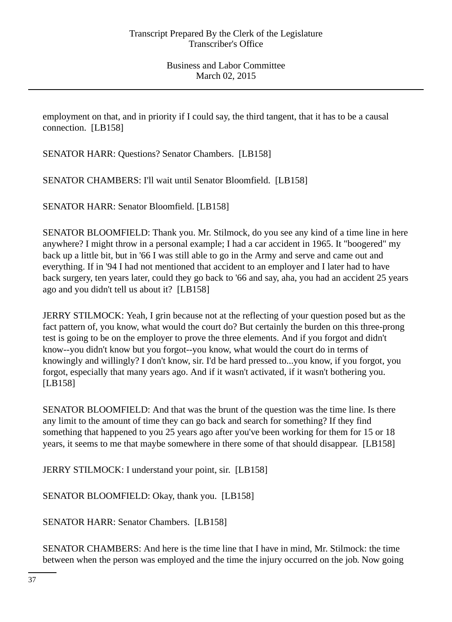employment on that, and in priority if I could say, the third tangent, that it has to be a causal connection. [LB158]

SENATOR HARR: Questions? Senator Chambers. [LB158]

SENATOR CHAMBERS: I'll wait until Senator Bloomfield. [LB158]

SENATOR HARR: Senator Bloomfield. [LB158]

SENATOR BLOOMFIELD: Thank you. Mr. Stilmock, do you see any kind of a time line in here anywhere? I might throw in a personal example; I had a car accident in 1965. It "boogered" my back up a little bit, but in '66 I was still able to go in the Army and serve and came out and everything. If in '94 I had not mentioned that accident to an employer and I later had to have back surgery, ten years later, could they go back to '66 and say, aha, you had an accident 25 years ago and you didn't tell us about it? [LB158]

JERRY STILMOCK: Yeah, I grin because not at the reflecting of your question posed but as the fact pattern of, you know, what would the court do? But certainly the burden on this three-prong test is going to be on the employer to prove the three elements. And if you forgot and didn't know--you didn't know but you forgot--you know, what would the court do in terms of knowingly and willingly? I don't know, sir. I'd be hard pressed to...you know, if you forgot, you forgot, especially that many years ago. And if it wasn't activated, if it wasn't bothering you. [LB158]

SENATOR BLOOMFIELD: And that was the brunt of the question was the time line. Is there any limit to the amount of time they can go back and search for something? If they find something that happened to you 25 years ago after you've been working for them for 15 or 18 years, it seems to me that maybe somewhere in there some of that should disappear. [LB158]

JERRY STILMOCK: I understand your point, sir. [LB158]

SENATOR BLOOMFIELD: Okay, thank you. [LB158]

SENATOR HARR: Senator Chambers. [LB158]

SENATOR CHAMBERS: And here is the time line that I have in mind, Mr. Stilmock: the time between when the person was employed and the time the injury occurred on the job. Now going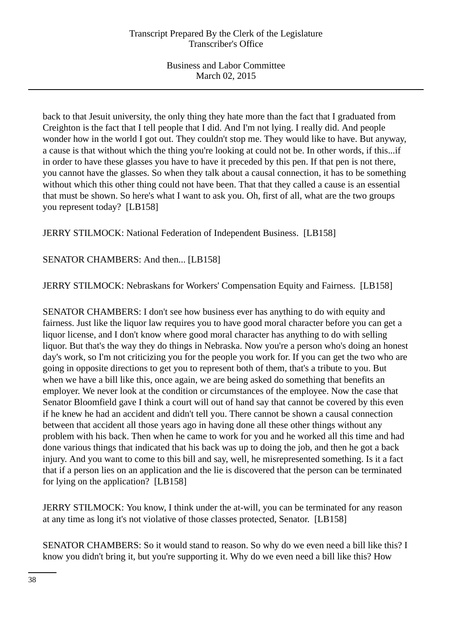back to that Jesuit university, the only thing they hate more than the fact that I graduated from Creighton is the fact that I tell people that I did. And I'm not lying. I really did. And people wonder how in the world I got out. They couldn't stop me. They would like to have. But anyway, a cause is that without which the thing you're looking at could not be. In other words, if this...if in order to have these glasses you have to have it preceded by this pen. If that pen is not there, you cannot have the glasses. So when they talk about a causal connection, it has to be something without which this other thing could not have been. That that they called a cause is an essential that must be shown. So here's what I want to ask you. Oh, first of all, what are the two groups you represent today? [LB158]

JERRY STILMOCK: National Federation of Independent Business. [LB158]

SENATOR CHAMBERS: And then... [LB158]

JERRY STILMOCK: Nebraskans for Workers' Compensation Equity and Fairness. [LB158]

SENATOR CHAMBERS: I don't see how business ever has anything to do with equity and fairness. Just like the liquor law requires you to have good moral character before you can get a liquor license, and I don't know where good moral character has anything to do with selling liquor. But that's the way they do things in Nebraska. Now you're a person who's doing an honest day's work, so I'm not criticizing you for the people you work for. If you can get the two who are going in opposite directions to get you to represent both of them, that's a tribute to you. But when we have a bill like this, once again, we are being asked do something that benefits an employer. We never look at the condition or circumstances of the employee. Now the case that Senator Bloomfield gave I think a court will out of hand say that cannot be covered by this even if he knew he had an accident and didn't tell you. There cannot be shown a causal connection between that accident all those years ago in having done all these other things without any problem with his back. Then when he came to work for you and he worked all this time and had done various things that indicated that his back was up to doing the job, and then he got a back injury. And you want to come to this bill and say, well, he misrepresented something. Is it a fact that if a person lies on an application and the lie is discovered that the person can be terminated for lying on the application? [LB158]

JERRY STILMOCK: You know, I think under the at-will, you can be terminated for any reason at any time as long it's not violative of those classes protected, Senator. [LB158]

SENATOR CHAMBERS: So it would stand to reason. So why do we even need a bill like this? I know you didn't bring it, but you're supporting it. Why do we even need a bill like this? How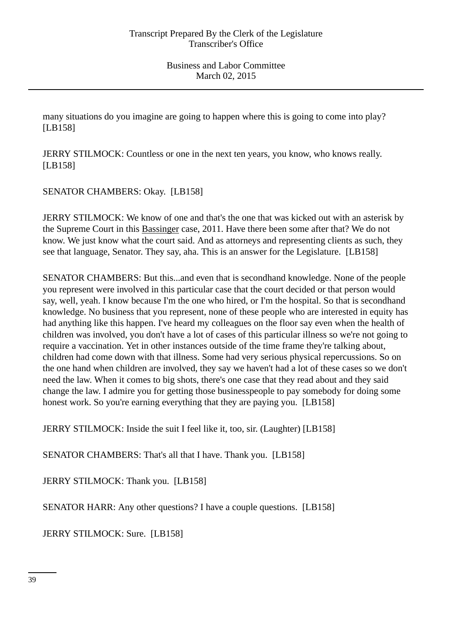many situations do you imagine are going to happen where this is going to come into play? [LB158]

JERRY STILMOCK: Countless or one in the next ten years, you know, who knows really. [LB158]

SENATOR CHAMBERS: Okay. [LB158]

JERRY STILMOCK: We know of one and that's the one that was kicked out with an asterisk by the Supreme Court in this Bassinger case, 2011. Have there been some after that? We do not know. We just know what the court said. And as attorneys and representing clients as such, they see that language, Senator. They say, aha. This is an answer for the Legislature. [LB158]

SENATOR CHAMBERS: But this...and even that is secondhand knowledge. None of the people you represent were involved in this particular case that the court decided or that person would say, well, yeah. I know because I'm the one who hired, or I'm the hospital. So that is secondhand knowledge. No business that you represent, none of these people who are interested in equity has had anything like this happen. I've heard my colleagues on the floor say even when the health of children was involved, you don't have a lot of cases of this particular illness so we're not going to require a vaccination. Yet in other instances outside of the time frame they're talking about, children had come down with that illness. Some had very serious physical repercussions. So on the one hand when children are involved, they say we haven't had a lot of these cases so we don't need the law. When it comes to big shots, there's one case that they read about and they said change the law. I admire you for getting those businesspeople to pay somebody for doing some honest work. So you're earning everything that they are paying you. [LB158]

JERRY STILMOCK: Inside the suit I feel like it, too, sir. (Laughter) [LB158]

SENATOR CHAMBERS: That's all that I have. Thank you. [LB158]

JERRY STILMOCK: Thank you. [LB158]

SENATOR HARR: Any other questions? I have a couple questions. [LB158]

JERRY STILMOCK: Sure. [LB158]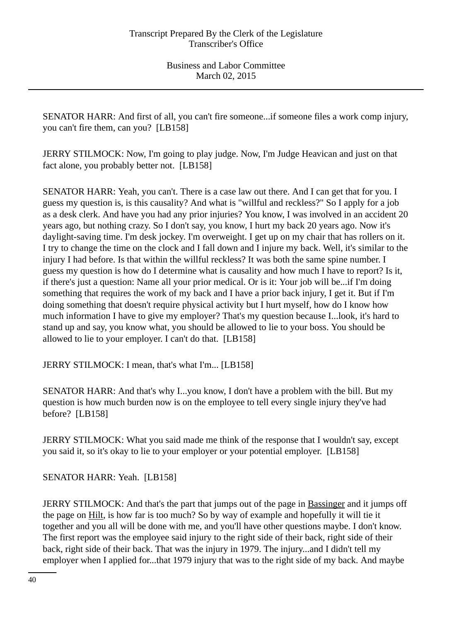SENATOR HARR: And first of all, you can't fire someone...if someone files a work comp injury, you can't fire them, can you? [LB158]

JERRY STILMOCK: Now, I'm going to play judge. Now, I'm Judge Heavican and just on that fact alone, you probably better not. [LB158]

SENATOR HARR: Yeah, you can't. There is a case law out there. And I can get that for you. I guess my question is, is this causality? And what is "willful and reckless?" So I apply for a job as a desk clerk. And have you had any prior injuries? You know, I was involved in an accident 20 years ago, but nothing crazy. So I don't say, you know, I hurt my back 20 years ago. Now it's daylight-saving time. I'm desk jockey. I'm overweight. I get up on my chair that has rollers on it. I try to change the time on the clock and I fall down and I injure my back. Well, it's similar to the injury I had before. Is that within the willful reckless? It was both the same spine number. I guess my question is how do I determine what is causality and how much I have to report? Is it, if there's just a question: Name all your prior medical. Or is it: Your job will be...if I'm doing something that requires the work of my back and I have a prior back injury, I get it. But if I'm doing something that doesn't require physical activity but I hurt myself, how do I know how much information I have to give my employer? That's my question because I...look, it's hard to stand up and say, you know what, you should be allowed to lie to your boss. You should be allowed to lie to your employer. I can't do that. [LB158]

JERRY STILMOCK: I mean, that's what I'm... [LB158]

SENATOR HARR: And that's why I...you know, I don't have a problem with the bill. But my question is how much burden now is on the employee to tell every single injury they've had before? [LB158]

JERRY STILMOCK: What you said made me think of the response that I wouldn't say, except you said it, so it's okay to lie to your employer or your potential employer. [LB158]

SENATOR HARR: Yeah. [LB158]

JERRY STILMOCK: And that's the part that jumps out of the page in Bassinger and it jumps off the page on Hilt, is how far is too much? So by way of example and hopefully it will tie it together and you all will be done with me, and you'll have other questions maybe. I don't know. The first report was the employee said injury to the right side of their back, right side of their back, right side of their back. That was the injury in 1979. The injury...and I didn't tell my employer when I applied for...that 1979 injury that was to the right side of my back. And maybe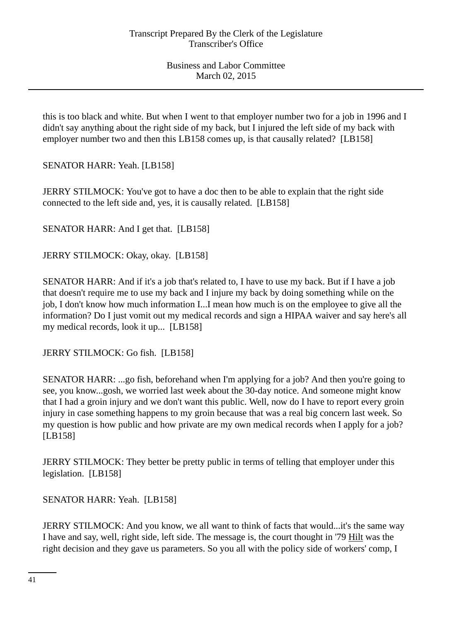this is too black and white. But when I went to that employer number two for a job in 1996 and I didn't say anything about the right side of my back, but I injured the left side of my back with employer number two and then this LB158 comes up, is that causally related? [LB158]

SENATOR HARR: Yeah. [LB158]

JERRY STILMOCK: You've got to have a doc then to be able to explain that the right side connected to the left side and, yes, it is causally related. [LB158]

SENATOR HARR: And I get that. [LB158]

JERRY STILMOCK: Okay, okay. [LB158]

SENATOR HARR: And if it's a job that's related to, I have to use my back. But if I have a job that doesn't require me to use my back and I injure my back by doing something while on the job, I don't know how much information I...I mean how much is on the employee to give all the information? Do I just vomit out my medical records and sign a HIPAA waiver and say here's all my medical records, look it up... [LB158]

JERRY STILMOCK: Go fish. [LB158]

SENATOR HARR: ...go fish, beforehand when I'm applying for a job? And then you're going to see, you know...gosh, we worried last week about the 30-day notice. And someone might know that I had a groin injury and we don't want this public. Well, now do I have to report every groin injury in case something happens to my groin because that was a real big concern last week. So my question is how public and how private are my own medical records when I apply for a job? [LB158]

JERRY STILMOCK: They better be pretty public in terms of telling that employer under this legislation. [LB158]

SENATOR HARR: Yeah. [LB158]

JERRY STILMOCK: And you know, we all want to think of facts that would...it's the same way I have and say, well, right side, left side. The message is, the court thought in '79 Hilt was the right decision and they gave us parameters. So you all with the policy side of workers' comp, I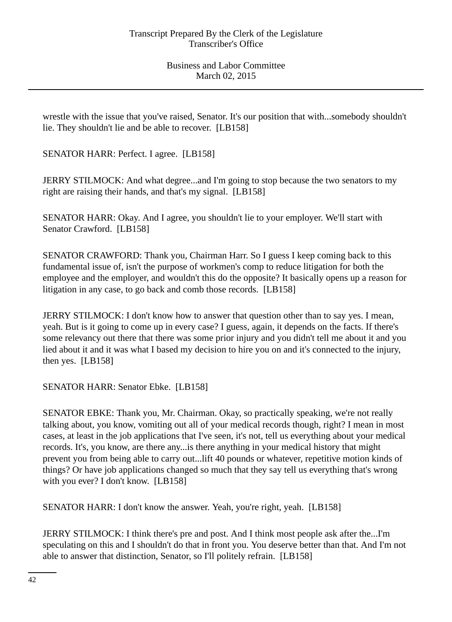wrestle with the issue that you've raised, Senator. It's our position that with...somebody shouldn't lie. They shouldn't lie and be able to recover. [LB158]

SENATOR HARR: Perfect. I agree. [LB158]

JERRY STILMOCK: And what degree...and I'm going to stop because the two senators to my right are raising their hands, and that's my signal. [LB158]

SENATOR HARR: Okay. And I agree, you shouldn't lie to your employer. We'll start with Senator Crawford. [LB158]

SENATOR CRAWFORD: Thank you, Chairman Harr. So I guess I keep coming back to this fundamental issue of, isn't the purpose of workmen's comp to reduce litigation for both the employee and the employer, and wouldn't this do the opposite? It basically opens up a reason for litigation in any case, to go back and comb those records. [LB158]

JERRY STILMOCK: I don't know how to answer that question other than to say yes. I mean, yeah. But is it going to come up in every case? I guess, again, it depends on the facts. If there's some relevancy out there that there was some prior injury and you didn't tell me about it and you lied about it and it was what I based my decision to hire you on and it's connected to the injury, then yes. [LB158]

SENATOR HARR: Senator Ebke. [LB158]

SENATOR EBKE: Thank you, Mr. Chairman. Okay, so practically speaking, we're not really talking about, you know, vomiting out all of your medical records though, right? I mean in most cases, at least in the job applications that I've seen, it's not, tell us everything about your medical records. It's, you know, are there any...is there anything in your medical history that might prevent you from being able to carry out...lift 40 pounds or whatever, repetitive motion kinds of things? Or have job applications changed so much that they say tell us everything that's wrong with you ever? I don't know. [LB158]

SENATOR HARR: I don't know the answer. Yeah, you're right, yeah. [LB158]

JERRY STILMOCK: I think there's pre and post. And I think most people ask after the...I'm speculating on this and I shouldn't do that in front you. You deserve better than that. And I'm not able to answer that distinction, Senator, so I'll politely refrain. [LB158]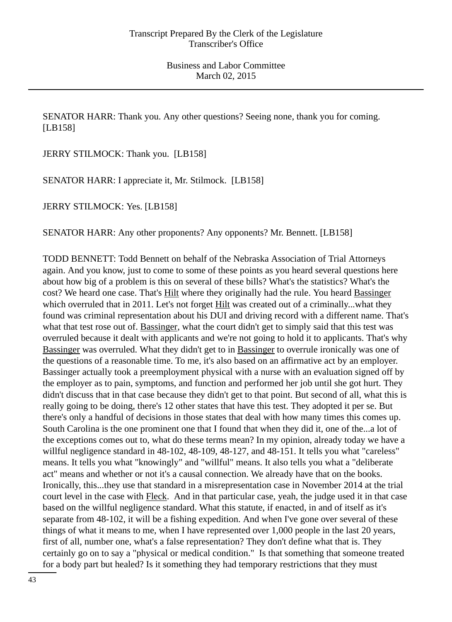SENATOR HARR: Thank you. Any other questions? Seeing none, thank you for coming. [LB158]

JERRY STILMOCK: Thank you. [LB158]

SENATOR HARR: I appreciate it, Mr. Stilmock. [LB158]

JERRY STILMOCK: Yes. [LB158]

SENATOR HARR: Any other proponents? Any opponents? Mr. Bennett. [LB158]

TODD BENNETT: Todd Bennett on behalf of the Nebraska Association of Trial Attorneys again. And you know, just to come to some of these points as you heard several questions here about how big of a problem is this on several of these bills? What's the statistics? What's the cost? We heard one case. That's Hilt where they originally had the rule. You heard Bassinger which overruled that in 2011. Let's not forget Hilt was created out of a criminally...what they found was criminal representation about his DUI and driving record with a different name. That's what that test rose out of. Bassinger, what the court didn't get to simply said that this test was overruled because it dealt with applicants and we're not going to hold it to applicants. That's why Bassinger was overruled. What they didn't get to in Bassinger to overrule ironically was one of the questions of a reasonable time. To me, it's also based on an affirmative act by an employer. Bassinger actually took a preemployment physical with a nurse with an evaluation signed off by the employer as to pain, symptoms, and function and performed her job until she got hurt. They didn't discuss that in that case because they didn't get to that point. But second of all, what this is really going to be doing, there's 12 other states that have this test. They adopted it per se. But there's only a handful of decisions in those states that deal with how many times this comes up. South Carolina is the one prominent one that I found that when they did it, one of the...a lot of the exceptions comes out to, what do these terms mean? In my opinion, already today we have a willful negligence standard in 48-102, 48-109, 48-127, and 48-151. It tells you what "careless" means. It tells you what "knowingly" and "willful" means. It also tells you what a "deliberate act" means and whether or not it's a causal connection. We already have that on the books. Ironically, this...they use that standard in a misrepresentation case in November 2014 at the trial court level in the case with Fleck. And in that particular case, yeah, the judge used it in that case based on the willful negligence standard. What this statute, if enacted, in and of itself as it's separate from 48-102, it will be a fishing expedition. And when I've gone over several of these things of what it means to me, when I have represented over 1,000 people in the last 20 years, first of all, number one, what's a false representation? They don't define what that is. They certainly go on to say a "physical or medical condition." Is that something that someone treated for a body part but healed? Is it something they had temporary restrictions that they must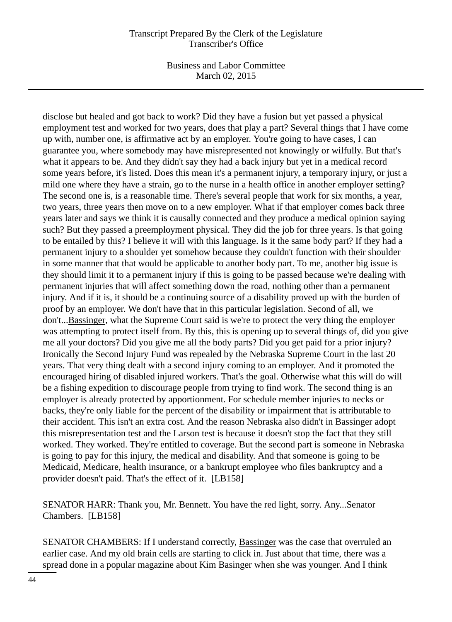#### Transcript Prepared By the Clerk of the Legislature Transcriber's Office

Business and Labor Committee March 02, 2015

disclose but healed and got back to work? Did they have a fusion but yet passed a physical employment test and worked for two years, does that play a part? Several things that I have come up with, number one, is affirmative act by an employer. You're going to have cases, I can guarantee you, where somebody may have misrepresented not knowingly or wilfully. But that's what it appears to be. And they didn't say they had a back injury but yet in a medical record some years before, it's listed. Does this mean it's a permanent injury, a temporary injury, or just a mild one where they have a strain, go to the nurse in a health office in another employer setting? The second one is, is a reasonable time. There's several people that work for six months, a year, two years, three years then move on to a new employer. What if that employer comes back three years later and says we think it is causally connected and they produce a medical opinion saying such? But they passed a preemployment physical. They did the job for three years. Is that going to be entailed by this? I believe it will with this language. Is it the same body part? If they had a permanent injury to a shoulder yet somehow because they couldn't function with their shoulder in some manner that that would be applicable to another body part. To me, another big issue is they should limit it to a permanent injury if this is going to be passed because we're dealing with permanent injuries that will affect something down the road, nothing other than a permanent injury. And if it is, it should be a continuing source of a disability proved up with the burden of proof by an employer. We don't have that in this particular legislation. Second of all, we don't...Bassinger, what the Supreme Court said is we're to protect the very thing the employer was attempting to protect itself from. By this, this is opening up to several things of, did you give me all your doctors? Did you give me all the body parts? Did you get paid for a prior injury? Ironically the Second Injury Fund was repealed by the Nebraska Supreme Court in the last 20 years. That very thing dealt with a second injury coming to an employer. And it promoted the encouraged hiring of disabled injured workers. That's the goal. Otherwise what this will do will be a fishing expedition to discourage people from trying to find work. The second thing is an employer is already protected by apportionment. For schedule member injuries to necks or backs, they're only liable for the percent of the disability or impairment that is attributable to their accident. This isn't an extra cost. And the reason Nebraska also didn't in Bassinger adopt this misrepresentation test and the Larson test is because it doesn't stop the fact that they still worked. They worked. They're entitled to coverage. But the second part is someone in Nebraska is going to pay for this injury, the medical and disability. And that someone is going to be Medicaid, Medicare, health insurance, or a bankrupt employee who files bankruptcy and a provider doesn't paid. That's the effect of it. [LB158]

SENATOR HARR: Thank you, Mr. Bennett. You have the red light, sorry. Any...Senator Chambers. [LB158]

SENATOR CHAMBERS: If I understand correctly, Bassinger was the case that overruled an earlier case. And my old brain cells are starting to click in. Just about that time, there was a spread done in a popular magazine about Kim Basinger when she was younger. And I think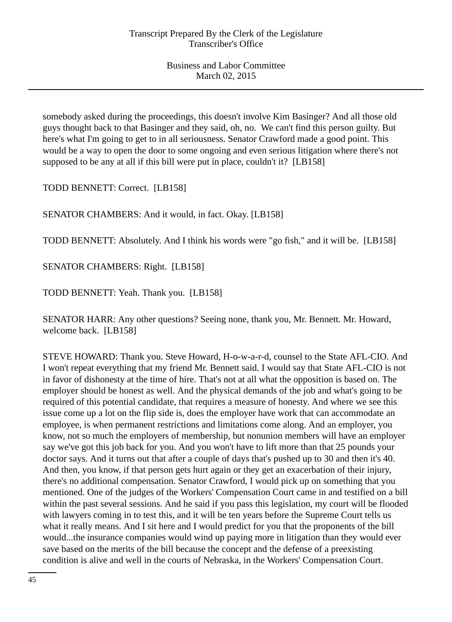somebody asked during the proceedings, this doesn't involve Kim Basinger? And all those old guys thought back to that Basinger and they said, oh, no. We can't find this person guilty. But here's what I'm going to get to in all seriousness. Senator Crawford made a good point. This would be a way to open the door to some ongoing and even serious litigation where there's not supposed to be any at all if this bill were put in place, couldn't it? [LB158]

TODD BENNETT: Correct. [LB158]

SENATOR CHAMBERS: And it would, in fact. Okay. [LB158]

TODD BENNETT: Absolutely. And I think his words were "go fish," and it will be. [LB158]

SENATOR CHAMBERS: Right. [LB158]

TODD BENNETT: Yeah. Thank you. [LB158]

SENATOR HARR: Any other questions? Seeing none, thank you, Mr. Bennett. Mr. Howard, welcome back. [LB158]

STEVE HOWARD: Thank you. Steve Howard, H-o-w-a-r-d, counsel to the State AFL-CIO. And I won't repeat everything that my friend Mr. Bennett said. I would say that State AFL-CIO is not in favor of dishonesty at the time of hire. That's not at all what the opposition is based on. The employer should be honest as well. And the physical demands of the job and what's going to be required of this potential candidate, that requires a measure of honesty. And where we see this issue come up a lot on the flip side is, does the employer have work that can accommodate an employee, is when permanent restrictions and limitations come along. And an employer, you know, not so much the employers of membership, but nonunion members will have an employer say we've got this job back for you. And you won't have to lift more than that 25 pounds your doctor says. And it turns out that after a couple of days that's pushed up to 30 and then it's 40. And then, you know, if that person gets hurt again or they get an exacerbation of their injury, there's no additional compensation. Senator Crawford, I would pick up on something that you mentioned. One of the judges of the Workers' Compensation Court came in and testified on a bill within the past several sessions. And he said if you pass this legislation, my court will be flooded with lawyers coming in to test this, and it will be ten years before the Supreme Court tells us what it really means. And I sit here and I would predict for you that the proponents of the bill would...the insurance companies would wind up paying more in litigation than they would ever save based on the merits of the bill because the concept and the defense of a preexisting condition is alive and well in the courts of Nebraska, in the Workers' Compensation Court.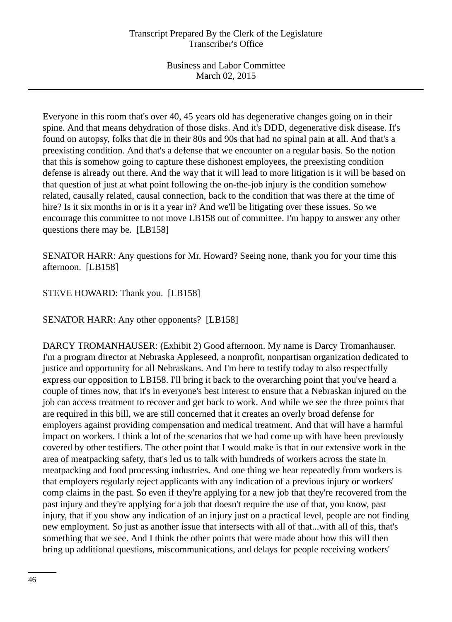Everyone in this room that's over 40, 45 years old has degenerative changes going on in their spine. And that means dehydration of those disks. And it's DDD, degenerative disk disease. It's found on autopsy, folks that die in their 80s and 90s that had no spinal pain at all. And that's a preexisting condition. And that's a defense that we encounter on a regular basis. So the notion that this is somehow going to capture these dishonest employees, the preexisting condition defense is already out there. And the way that it will lead to more litigation is it will be based on that question of just at what point following the on-the-job injury is the condition somehow related, causally related, causal connection, back to the condition that was there at the time of hire? Is it six months in or is it a year in? And we'll be litigating over these issues. So we encourage this committee to not move LB158 out of committee. I'm happy to answer any other questions there may be. [LB158]

SENATOR HARR: Any questions for Mr. Howard? Seeing none, thank you for your time this afternoon. [LB158]

# STEVE HOWARD: Thank you. [LB158]

SENATOR HARR: Any other opponents? [LB158]

DARCY TROMANHAUSER: (Exhibit 2) Good afternoon. My name is Darcy Tromanhauser. I'm a program director at Nebraska Appleseed, a nonprofit, nonpartisan organization dedicated to justice and opportunity for all Nebraskans. And I'm here to testify today to also respectfully express our opposition to LB158. I'll bring it back to the overarching point that you've heard a couple of times now, that it's in everyone's best interest to ensure that a Nebraskan injured on the job can access treatment to recover and get back to work. And while we see the three points that are required in this bill, we are still concerned that it creates an overly broad defense for employers against providing compensation and medical treatment. And that will have a harmful impact on workers. I think a lot of the scenarios that we had come up with have been previously covered by other testifiers. The other point that I would make is that in our extensive work in the area of meatpacking safety, that's led us to talk with hundreds of workers across the state in meatpacking and food processing industries. And one thing we hear repeatedly from workers is that employers regularly reject applicants with any indication of a previous injury or workers' comp claims in the past. So even if they're applying for a new job that they're recovered from the past injury and they're applying for a job that doesn't require the use of that, you know, past injury, that if you show any indication of an injury just on a practical level, people are not finding new employment. So just as another issue that intersects with all of that...with all of this, that's something that we see. And I think the other points that were made about how this will then bring up additional questions, miscommunications, and delays for people receiving workers'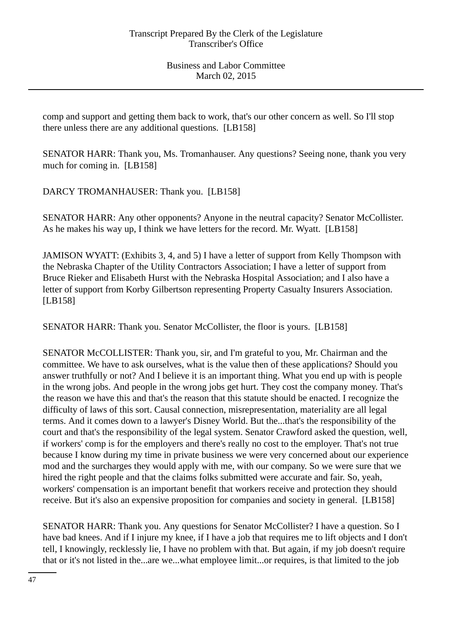comp and support and getting them back to work, that's our other concern as well. So I'll stop there unless there are any additional questions. [LB158]

SENATOR HARR: Thank you, Ms. Tromanhauser. Any questions? Seeing none, thank you very much for coming in. [LB158]

DARCY TROMANHAUSER: Thank you. [LB158]

SENATOR HARR: Any other opponents? Anyone in the neutral capacity? Senator McCollister. As he makes his way up, I think we have letters for the record. Mr. Wyatt. [LB158]

JAMISON WYATT: (Exhibits 3, 4, and 5) I have a letter of support from Kelly Thompson with the Nebraska Chapter of the Utility Contractors Association; I have a letter of support from Bruce Rieker and Elisabeth Hurst with the Nebraska Hospital Association; and I also have a letter of support from Korby Gilbertson representing Property Casualty Insurers Association. [LB158]

SENATOR HARR: Thank you. Senator McCollister, the floor is yours. [LB158]

SENATOR McCOLLISTER: Thank you, sir, and I'm grateful to you, Mr. Chairman and the committee. We have to ask ourselves, what is the value then of these applications? Should you answer truthfully or not? And I believe it is an important thing. What you end up with is people in the wrong jobs. And people in the wrong jobs get hurt. They cost the company money. That's the reason we have this and that's the reason that this statute should be enacted. I recognize the difficulty of laws of this sort. Causal connection, misrepresentation, materiality are all legal terms. And it comes down to a lawyer's Disney World. But the...that's the responsibility of the court and that's the responsibility of the legal system. Senator Crawford asked the question, well, if workers' comp is for the employers and there's really no cost to the employer. That's not true because I know during my time in private business we were very concerned about our experience mod and the surcharges they would apply with me, with our company. So we were sure that we hired the right people and that the claims folks submitted were accurate and fair. So, yeah, workers' compensation is an important benefit that workers receive and protection they should receive. But it's also an expensive proposition for companies and society in general. [LB158]

SENATOR HARR: Thank you. Any questions for Senator McCollister? I have a question. So I have bad knees. And if I injure my knee, if I have a job that requires me to lift objects and I don't tell, I knowingly, recklessly lie, I have no problem with that. But again, if my job doesn't require that or it's not listed in the...are we...what employee limit...or requires, is that limited to the job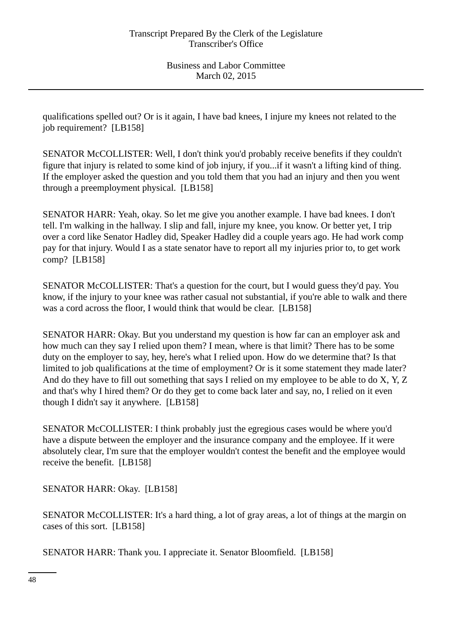qualifications spelled out? Or is it again, I have bad knees, I injure my knees not related to the job requirement? [LB158]

SENATOR McCOLLISTER: Well, I don't think you'd probably receive benefits if they couldn't figure that injury is related to some kind of job injury, if you...if it wasn't a lifting kind of thing. If the employer asked the question and you told them that you had an injury and then you went through a preemployment physical. [LB158]

SENATOR HARR: Yeah, okay. So let me give you another example. I have bad knees. I don't tell. I'm walking in the hallway. I slip and fall, injure my knee, you know. Or better yet, I trip over a cord like Senator Hadley did, Speaker Hadley did a couple years ago. He had work comp pay for that injury. Would I as a state senator have to report all my injuries prior to, to get work comp? [LB158]

SENATOR McCOLLISTER: That's a question for the court, but I would guess they'd pay. You know, if the injury to your knee was rather casual not substantial, if you're able to walk and there was a cord across the floor, I would think that would be clear. [LB158]

SENATOR HARR: Okay. But you understand my question is how far can an employer ask and how much can they say I relied upon them? I mean, where is that limit? There has to be some duty on the employer to say, hey, here's what I relied upon. How do we determine that? Is that limited to job qualifications at the time of employment? Or is it some statement they made later? And do they have to fill out something that says I relied on my employee to be able to do X, Y, Z and that's why I hired them? Or do they get to come back later and say, no, I relied on it even though I didn't say it anywhere. [LB158]

SENATOR McCOLLISTER: I think probably just the egregious cases would be where you'd have a dispute between the employer and the insurance company and the employee. If it were absolutely clear, I'm sure that the employer wouldn't contest the benefit and the employee would receive the benefit. [LB158]

SENATOR HARR: Okay. [LB158]

SENATOR McCOLLISTER: It's a hard thing, a lot of gray areas, a lot of things at the margin on cases of this sort. [LB158]

SENATOR HARR: Thank you. I appreciate it. Senator Bloomfield. [LB158]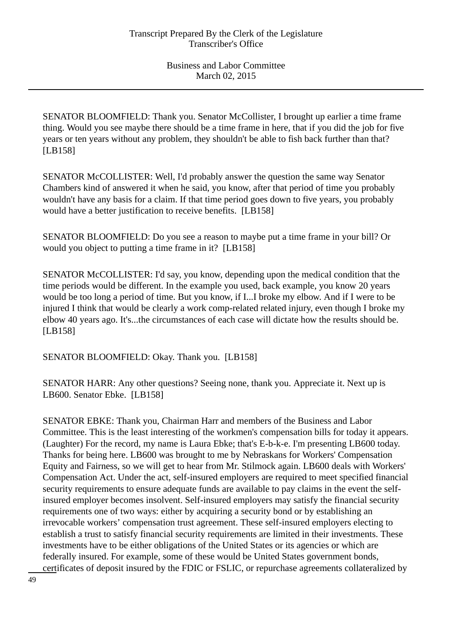SENATOR BLOOMFIELD: Thank you. Senator McCollister, I brought up earlier a time frame thing. Would you see maybe there should be a time frame in here, that if you did the job for five years or ten years without any problem, they shouldn't be able to fish back further than that? [LB158]

SENATOR McCOLLISTER: Well, I'd probably answer the question the same way Senator Chambers kind of answered it when he said, you know, after that period of time you probably wouldn't have any basis for a claim. If that time period goes down to five years, you probably would have a better justification to receive benefits. [LB158]

SENATOR BLOOMFIELD: Do you see a reason to maybe put a time frame in your bill? Or would you object to putting a time frame in it? [LB158]

SENATOR McCOLLISTER: I'd say, you know, depending upon the medical condition that the time periods would be different. In the example you used, back example, you know 20 years would be too long a period of time. But you know, if I...I broke my elbow. And if I were to be injured I think that would be clearly a work comp-related related injury, even though I broke my elbow 40 years ago. It's...the circumstances of each case will dictate how the results should be. [LB158]

SENATOR BLOOMFIELD: Okay. Thank you. [LB158]

SENATOR HARR: Any other questions? Seeing none, thank you. Appreciate it. Next up is LB600. Senator Ebke. [LB158]

SENATOR EBKE: Thank you, Chairman Harr and members of the Business and Labor Committee. This is the least interesting of the workmen's compensation bills for today it appears. (Laughter) For the record, my name is Laura Ebke; that's E-b-k-e. I'm presenting LB600 today. Thanks for being here. LB600 was brought to me by Nebraskans for Workers' Compensation Equity and Fairness, so we will get to hear from Mr. Stilmock again. LB600 deals with Workers' Compensation Act. Under the act, self-insured employers are required to meet specified financial security requirements to ensure adequate funds are available to pay claims in the event the selfinsured employer becomes insolvent. Self-insured employers may satisfy the financial security requirements one of two ways: either by acquiring a security bond or by establishing an irrevocable workers' compensation trust agreement. These self-insured employers electing to establish a trust to satisfy financial security requirements are limited in their investments. These investments have to be either obligations of the United States or its agencies or which are federally insured. For example, some of these would be United States government bonds, certificates of deposit insured by the FDIC or FSLIC, or repurchase agreements collateralized by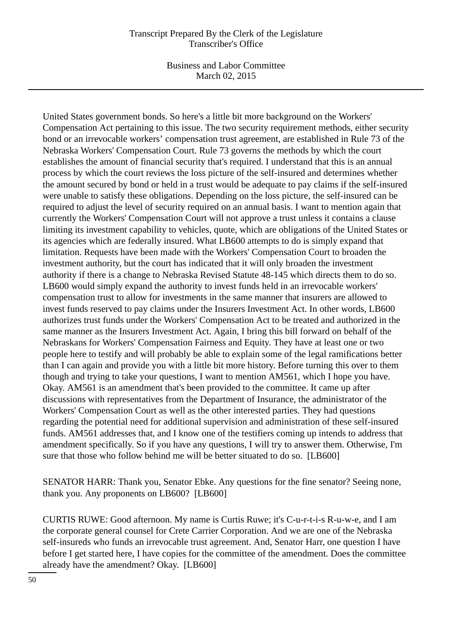#### Transcript Prepared By the Clerk of the Legislature Transcriber's Office

Business and Labor Committee March 02, 2015

United States government bonds. So here's a little bit more background on the Workers' Compensation Act pertaining to this issue. The two security requirement methods, either security bond or an irrevocable workers' compensation trust agreement, are established in Rule 73 of the Nebraska Workers' Compensation Court. Rule 73 governs the methods by which the court establishes the amount of financial security that's required. I understand that this is an annual process by which the court reviews the loss picture of the self-insured and determines whether the amount secured by bond or held in a trust would be adequate to pay claims if the self-insured were unable to satisfy these obligations. Depending on the loss picture, the self-insured can be required to adjust the level of security required on an annual basis. I want to mention again that currently the Workers' Compensation Court will not approve a trust unless it contains a clause limiting its investment capability to vehicles, quote, which are obligations of the United States or its agencies which are federally insured. What LB600 attempts to do is simply expand that limitation. Requests have been made with the Workers' Compensation Court to broaden the investment authority, but the court has indicated that it will only broaden the investment authority if there is a change to Nebraska Revised Statute 48-145 which directs them to do so. LB600 would simply expand the authority to invest funds held in an irrevocable workers' compensation trust to allow for investments in the same manner that insurers are allowed to invest funds reserved to pay claims under the Insurers Investment Act. In other words, LB600 authorizes trust funds under the Workers' Compensation Act to be treated and authorized in the same manner as the Insurers Investment Act. Again, I bring this bill forward on behalf of the Nebraskans for Workers' Compensation Fairness and Equity. They have at least one or two people here to testify and will probably be able to explain some of the legal ramifications better than I can again and provide you with a little bit more history. Before turning this over to them though and trying to take your questions, I want to mention AM561, which I hope you have. Okay. AM561 is an amendment that's been provided to the committee. It came up after discussions with representatives from the Department of Insurance, the administrator of the Workers' Compensation Court as well as the other interested parties. They had questions regarding the potential need for additional supervision and administration of these self-insured funds. AM561 addresses that, and I know one of the testifiers coming up intends to address that amendment specifically. So if you have any questions, I will try to answer them. Otherwise, I'm sure that those who follow behind me will be better situated to do so. [LB600]

SENATOR HARR: Thank you, Senator Ebke. Any questions for the fine senator? Seeing none, thank you. Any proponents on LB600? [LB600]

CURTIS RUWE: Good afternoon. My name is Curtis Ruwe; it's C-u-r-t-i-s R-u-w-e, and I am the corporate general counsel for Crete Carrier Corporation. And we are one of the Nebraska self-insureds who funds an irrevocable trust agreement. And, Senator Harr, one question I have before I get started here, I have copies for the committee of the amendment. Does the committee already have the amendment? Okay. [LB600]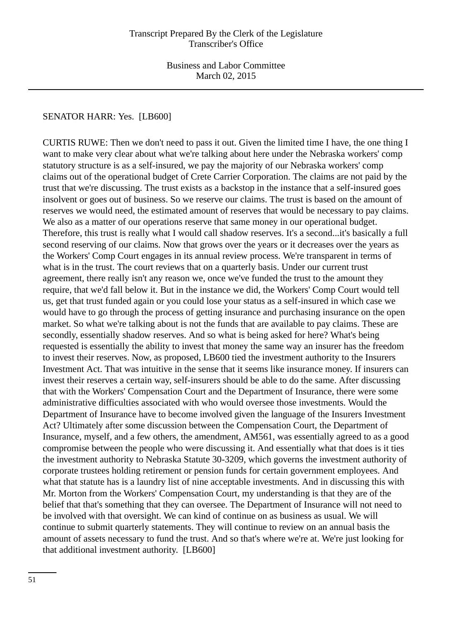## SENATOR HARR: Yes. [LB600]

CURTIS RUWE: Then we don't need to pass it out. Given the limited time I have, the one thing I want to make very clear about what we're talking about here under the Nebraska workers' comp statutory structure is as a self-insured, we pay the majority of our Nebraska workers' comp claims out of the operational budget of Crete Carrier Corporation. The claims are not paid by the trust that we're discussing. The trust exists as a backstop in the instance that a self-insured goes insolvent or goes out of business. So we reserve our claims. The trust is based on the amount of reserves we would need, the estimated amount of reserves that would be necessary to pay claims. We also as a matter of our operations reserve that same money in our operational budget. Therefore, this trust is really what I would call shadow reserves. It's a second...it's basically a full second reserving of our claims. Now that grows over the years or it decreases over the years as the Workers' Comp Court engages in its annual review process. We're transparent in terms of what is in the trust. The court reviews that on a quarterly basis. Under our current trust agreement, there really isn't any reason we, once we've funded the trust to the amount they require, that we'd fall below it. But in the instance we did, the Workers' Comp Court would tell us, get that trust funded again or you could lose your status as a self-insured in which case we would have to go through the process of getting insurance and purchasing insurance on the open market. So what we're talking about is not the funds that are available to pay claims. These are secondly, essentially shadow reserves. And so what is being asked for here? What's being requested is essentially the ability to invest that money the same way an insurer has the freedom to invest their reserves. Now, as proposed, LB600 tied the investment authority to the Insurers Investment Act. That was intuitive in the sense that it seems like insurance money. If insurers can invest their reserves a certain way, self-insurers should be able to do the same. After discussing that with the Workers' Compensation Court and the Department of Insurance, there were some administrative difficulties associated with who would oversee those investments. Would the Department of Insurance have to become involved given the language of the Insurers Investment Act? Ultimately after some discussion between the Compensation Court, the Department of Insurance, myself, and a few others, the amendment, AM561, was essentially agreed to as a good compromise between the people who were discussing it. And essentially what that does is it ties the investment authority to Nebraska Statute 30-3209, which governs the investment authority of corporate trustees holding retirement or pension funds for certain government employees. And what that statute has is a laundry list of nine acceptable investments. And in discussing this with Mr. Morton from the Workers' Compensation Court, my understanding is that they are of the belief that that's something that they can oversee. The Department of Insurance will not need to be involved with that oversight. We can kind of continue on as business as usual. We will continue to submit quarterly statements. They will continue to review on an annual basis the amount of assets necessary to fund the trust. And so that's where we're at. We're just looking for that additional investment authority. [LB600]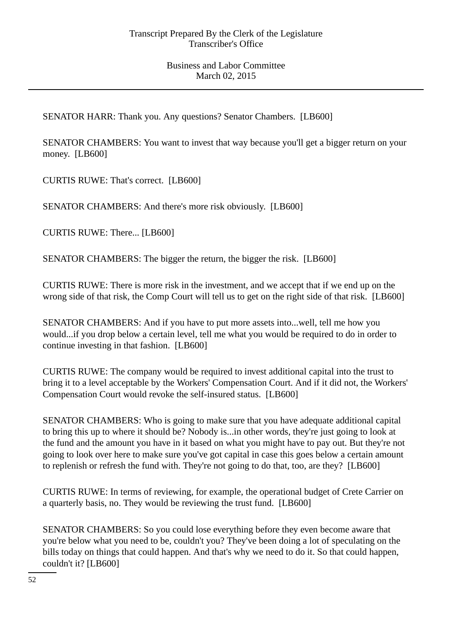SENATOR HARR: Thank you. Any questions? Senator Chambers. [LB600]

SENATOR CHAMBERS: You want to invest that way because you'll get a bigger return on your money. [LB600]

CURTIS RUWE: That's correct. [LB600]

SENATOR CHAMBERS: And there's more risk obviously. [LB600]

CURTIS RUWE: There... [LB600]

SENATOR CHAMBERS: The bigger the return, the bigger the risk. [LB600]

CURTIS RUWE: There is more risk in the investment, and we accept that if we end up on the wrong side of that risk, the Comp Court will tell us to get on the right side of that risk. [LB600]

SENATOR CHAMBERS: And if you have to put more assets into...well, tell me how you would...if you drop below a certain level, tell me what you would be required to do in order to continue investing in that fashion. [LB600]

CURTIS RUWE: The company would be required to invest additional capital into the trust to bring it to a level acceptable by the Workers' Compensation Court. And if it did not, the Workers' Compensation Court would revoke the self-insured status. [LB600]

SENATOR CHAMBERS: Who is going to make sure that you have adequate additional capital to bring this up to where it should be? Nobody is...in other words, they're just going to look at the fund and the amount you have in it based on what you might have to pay out. But they're not going to look over here to make sure you've got capital in case this goes below a certain amount to replenish or refresh the fund with. They're not going to do that, too, are they? [LB600]

CURTIS RUWE: In terms of reviewing, for example, the operational budget of Crete Carrier on a quarterly basis, no. They would be reviewing the trust fund. [LB600]

SENATOR CHAMBERS: So you could lose everything before they even become aware that you're below what you need to be, couldn't you? They've been doing a lot of speculating on the bills today on things that could happen. And that's why we need to do it. So that could happen, couldn't it? [LB600]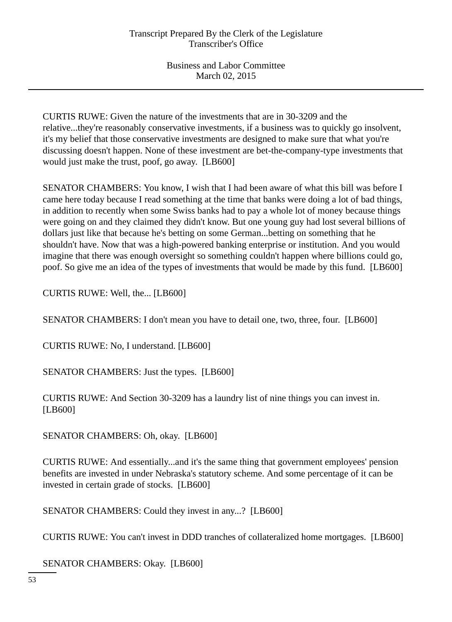CURTIS RUWE: Given the nature of the investments that are in 30-3209 and the relative...they're reasonably conservative investments, if a business was to quickly go insolvent, it's my belief that those conservative investments are designed to make sure that what you're discussing doesn't happen. None of these investment are bet-the-company-type investments that would just make the trust, poof, go away. [LB600]

SENATOR CHAMBERS: You know, I wish that I had been aware of what this bill was before I came here today because I read something at the time that banks were doing a lot of bad things, in addition to recently when some Swiss banks had to pay a whole lot of money because things were going on and they claimed they didn't know. But one young guy had lost several billions of dollars just like that because he's betting on some German...betting on something that he shouldn't have. Now that was a high-powered banking enterprise or institution. And you would imagine that there was enough oversight so something couldn't happen where billions could go, poof. So give me an idea of the types of investments that would be made by this fund. [LB600]

CURTIS RUWE: Well, the... [LB600]

SENATOR CHAMBERS: I don't mean you have to detail one, two, three, four. [LB600]

CURTIS RUWE: No, I understand. [LB600]

SENATOR CHAMBERS: Just the types. [LB600]

CURTIS RUWE: And Section 30-3209 has a laundry list of nine things you can invest in. [LB600]

SENATOR CHAMBERS: Oh, okay. [LB600]

CURTIS RUWE: And essentially...and it's the same thing that government employees' pension benefits are invested in under Nebraska's statutory scheme. And some percentage of it can be invested in certain grade of stocks. [LB600]

SENATOR CHAMBERS: Could they invest in any...? [LB600]

CURTIS RUWE: You can't invest in DDD tranches of collateralized home mortgages. [LB600]

SENATOR CHAMBERS: Okay. [LB600]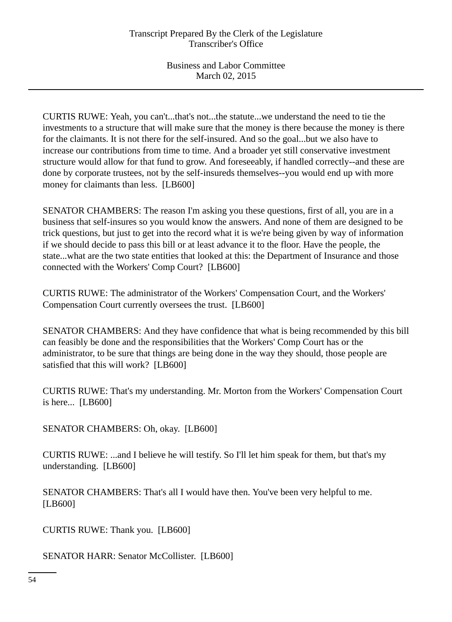CURTIS RUWE: Yeah, you can't...that's not...the statute...we understand the need to tie the investments to a structure that will make sure that the money is there because the money is there for the claimants. It is not there for the self-insured. And so the goal...but we also have to increase our contributions from time to time. And a broader yet still conservative investment structure would allow for that fund to grow. And foreseeably, if handled correctly--and these are done by corporate trustees, not by the self-insureds themselves--you would end up with more money for claimants than less. [LB600]

SENATOR CHAMBERS: The reason I'm asking you these questions, first of all, you are in a business that self-insures so you would know the answers. And none of them are designed to be trick questions, but just to get into the record what it is we're being given by way of information if we should decide to pass this bill or at least advance it to the floor. Have the people, the state...what are the two state entities that looked at this: the Department of Insurance and those connected with the Workers' Comp Court? [LB600]

CURTIS RUWE: The administrator of the Workers' Compensation Court, and the Workers' Compensation Court currently oversees the trust. [LB600]

SENATOR CHAMBERS: And they have confidence that what is being recommended by this bill can feasibly be done and the responsibilities that the Workers' Comp Court has or the administrator, to be sure that things are being done in the way they should, those people are satisfied that this will work? [LB600]

CURTIS RUWE: That's my understanding. Mr. Morton from the Workers' Compensation Court is here... [LB600]

SENATOR CHAMBERS: Oh, okay. [LB600]

CURTIS RUWE: ...and I believe he will testify. So I'll let him speak for them, but that's my understanding. [LB600]

SENATOR CHAMBERS: That's all I would have then. You've been very helpful to me. [LB600]

CURTIS RUWE: Thank you. [LB600]

SENATOR HARR: Senator McCollister. [LB600]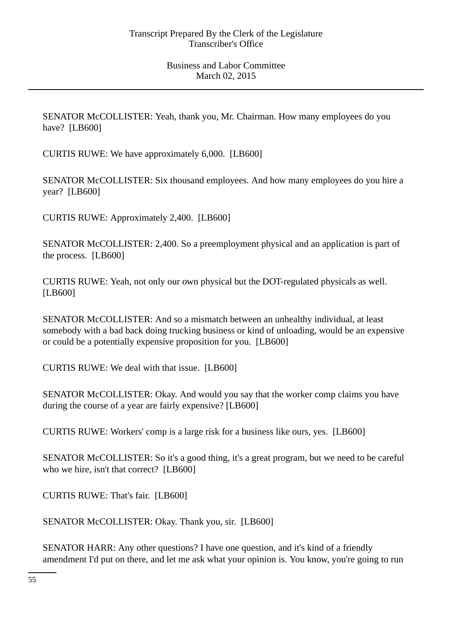SENATOR McCOLLISTER: Yeah, thank you, Mr. Chairman. How many employees do you have? [LB600]

CURTIS RUWE: We have approximately 6,000. [LB600]

SENATOR McCOLLISTER: Six thousand employees. And how many employees do you hire a year? [LB600]

CURTIS RUWE: Approximately 2,400. [LB600]

SENATOR McCOLLISTER: 2,400. So a preemployment physical and an application is part of the process. [LB600]

CURTIS RUWE: Yeah, not only our own physical but the DOT-regulated physicals as well. [LB600]

SENATOR McCOLLISTER: And so a mismatch between an unhealthy individual, at least somebody with a bad back doing trucking business or kind of unloading, would be an expensive or could be a potentially expensive proposition for you. [LB600]

CURTIS RUWE: We deal with that issue. [LB600]

SENATOR McCOLLISTER: Okay. And would you say that the worker comp claims you have during the course of a year are fairly expensive? [LB600]

CURTIS RUWE: Workers' comp is a large risk for a business like ours, yes. [LB600]

SENATOR McCOLLISTER: So it's a good thing, it's a great program, but we need to be careful who we hire, isn't that correct? [LB600]

CURTIS RUWE: That's fair. [LB600]

SENATOR McCOLLISTER: Okay. Thank you, sir. [LB600]

SENATOR HARR: Any other questions? I have one question, and it's kind of a friendly amendment I'd put on there, and let me ask what your opinion is. You know, you're going to run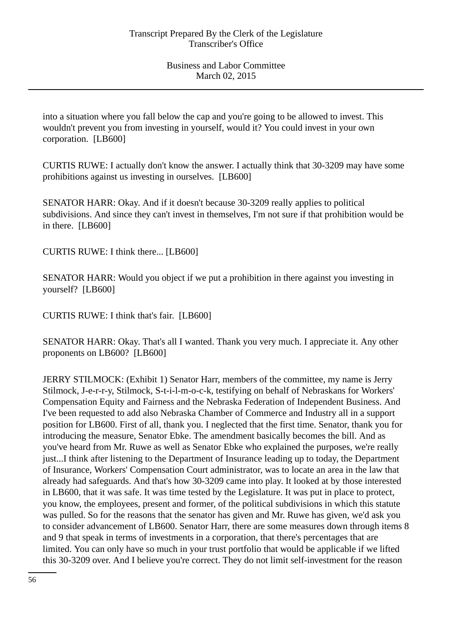into a situation where you fall below the cap and you're going to be allowed to invest. This wouldn't prevent you from investing in yourself, would it? You could invest in your own corporation. [LB600]

CURTIS RUWE: I actually don't know the answer. I actually think that 30-3209 may have some prohibitions against us investing in ourselves. [LB600]

SENATOR HARR: Okay. And if it doesn't because 30-3209 really applies to political subdivisions. And since they can't invest in themselves, I'm not sure if that prohibition would be in there. [LB600]

CURTIS RUWE: I think there... [LB600]

SENATOR HARR: Would you object if we put a prohibition in there against you investing in yourself? [LB600]

CURTIS RUWE: I think that's fair. [LB600]

SENATOR HARR: Okay. That's all I wanted. Thank you very much. I appreciate it. Any other proponents on LB600? [LB600]

JERRY STILMOCK: (Exhibit 1) Senator Harr, members of the committee, my name is Jerry Stilmock, J-e-r-r-y, Stilmock, S-t-i-l-m-o-c-k, testifying on behalf of Nebraskans for Workers' Compensation Equity and Fairness and the Nebraska Federation of Independent Business. And I've been requested to add also Nebraska Chamber of Commerce and Industry all in a support position for LB600. First of all, thank you. I neglected that the first time. Senator, thank you for introducing the measure, Senator Ebke. The amendment basically becomes the bill. And as you've heard from Mr. Ruwe as well as Senator Ebke who explained the purposes, we're really just...I think after listening to the Department of Insurance leading up to today, the Department of Insurance, Workers' Compensation Court administrator, was to locate an area in the law that already had safeguards. And that's how 30-3209 came into play. It looked at by those interested in LB600, that it was safe. It was time tested by the Legislature. It was put in place to protect, you know, the employees, present and former, of the political subdivisions in which this statute was pulled. So for the reasons that the senator has given and Mr. Ruwe has given, we'd ask you to consider advancement of LB600. Senator Harr, there are some measures down through items 8 and 9 that speak in terms of investments in a corporation, that there's percentages that are limited. You can only have so much in your trust portfolio that would be applicable if we lifted this 30-3209 over. And I believe you're correct. They do not limit self-investment for the reason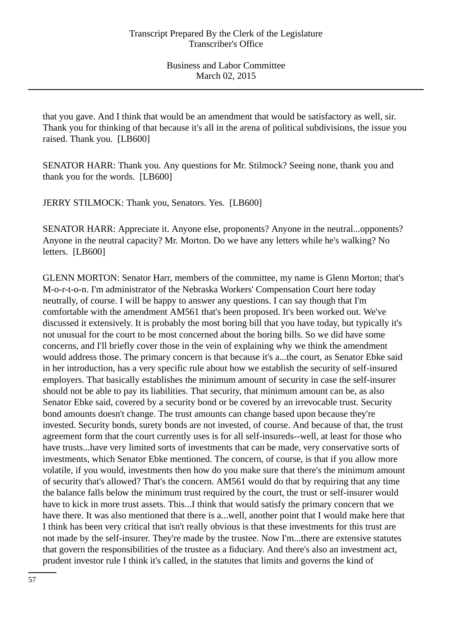that you gave. And I think that would be an amendment that would be satisfactory as well, sir. Thank you for thinking of that because it's all in the arena of political subdivisions, the issue you raised. Thank you. [LB600]

SENATOR HARR: Thank you. Any questions for Mr. Stilmock? Seeing none, thank you and thank you for the words. [LB600]

JERRY STILMOCK: Thank you, Senators. Yes. [LB600]

SENATOR HARR: Appreciate it. Anyone else, proponents? Anyone in the neutral...opponents? Anyone in the neutral capacity? Mr. Morton. Do we have any letters while he's walking? No letters. [LB600]

GLENN MORTON: Senator Harr, members of the committee, my name is Glenn Morton; that's M-o-r-t-o-n. I'm administrator of the Nebraska Workers' Compensation Court here today neutrally, of course. I will be happy to answer any questions. I can say though that I'm comfortable with the amendment AM561 that's been proposed. It's been worked out. We've discussed it extensively. It is probably the most boring bill that you have today, but typically it's not unusual for the court to be most concerned about the boring bills. So we did have some concerns, and I'll briefly cover those in the vein of explaining why we think the amendment would address those. The primary concern is that because it's a...the court, as Senator Ebke said in her introduction, has a very specific rule about how we establish the security of self-insured employers. That basically establishes the minimum amount of security in case the self-insurer should not be able to pay its liabilities. That security, that minimum amount can be, as also Senator Ebke said, covered by a security bond or be covered by an irrevocable trust. Security bond amounts doesn't change. The trust amounts can change based upon because they're invested. Security bonds, surety bonds are not invested, of course. And because of that, the trust agreement form that the court currently uses is for all self-insureds--well, at least for those who have trusts...have very limited sorts of investments that can be made, very conservative sorts of investments, which Senator Ebke mentioned. The concern, of course, is that if you allow more volatile, if you would, investments then how do you make sure that there's the minimum amount of security that's allowed? That's the concern. AM561 would do that by requiring that any time the balance falls below the minimum trust required by the court, the trust or self-insurer would have to kick in more trust assets. This...I think that would satisfy the primary concern that we have there. It was also mentioned that there is a...well, another point that I would make here that I think has been very critical that isn't really obvious is that these investments for this trust are not made by the self-insurer. They're made by the trustee. Now I'm...there are extensive statutes that govern the responsibilities of the trustee as a fiduciary. And there's also an investment act, prudent investor rule I think it's called, in the statutes that limits and governs the kind of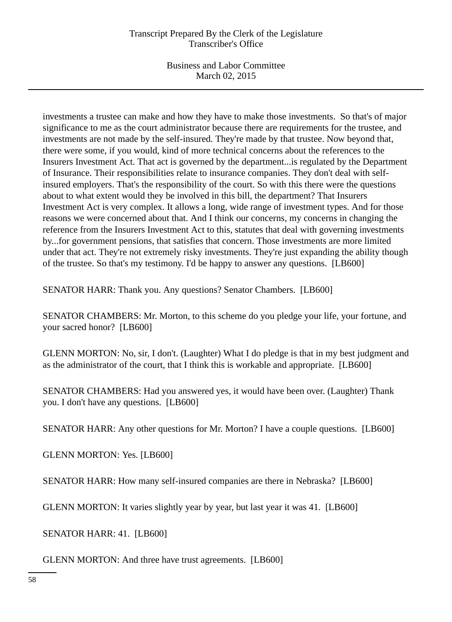## Transcript Prepared By the Clerk of the Legislature Transcriber's Office

Business and Labor Committee March 02, 2015

investments a trustee can make and how they have to make those investments. So that's of major significance to me as the court administrator because there are requirements for the trustee, and investments are not made by the self-insured. They're made by that trustee. Now beyond that, there were some, if you would, kind of more technical concerns about the references to the Insurers Investment Act. That act is governed by the department...is regulated by the Department of Insurance. Their responsibilities relate to insurance companies. They don't deal with selfinsured employers. That's the responsibility of the court. So with this there were the questions about to what extent would they be involved in this bill, the department? That Insurers Investment Act is very complex. It allows a long, wide range of investment types. And for those reasons we were concerned about that. And I think our concerns, my concerns in changing the reference from the Insurers Investment Act to this, statutes that deal with governing investments by...for government pensions, that satisfies that concern. Those investments are more limited under that act. They're not extremely risky investments. They're just expanding the ability though of the trustee. So that's my testimony. I'd be happy to answer any questions. [LB600]

SENATOR HARR: Thank you. Any questions? Senator Chambers. [LB600]

SENATOR CHAMBERS: Mr. Morton, to this scheme do you pledge your life, your fortune, and your sacred honor? [LB600]

GLENN MORTON: No, sir, I don't. (Laughter) What I do pledge is that in my best judgment and as the administrator of the court, that I think this is workable and appropriate. [LB600]

SENATOR CHAMBERS: Had you answered yes, it would have been over. (Laughter) Thank you. I don't have any questions. [LB600]

SENATOR HARR: Any other questions for Mr. Morton? I have a couple questions. [LB600]

GLENN MORTON: Yes. [LB600]

SENATOR HARR: How many self-insured companies are there in Nebraska? [LB600]

GLENN MORTON: It varies slightly year by year, but last year it was 41. [LB600]

SENATOR HARR: 41. [LB600]

GLENN MORTON: And three have trust agreements. [LB600]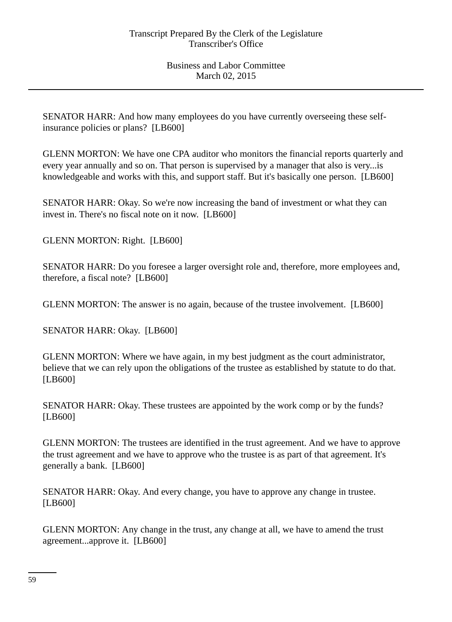SENATOR HARR: And how many employees do you have currently overseeing these selfinsurance policies or plans? [LB600]

GLENN MORTON: We have one CPA auditor who monitors the financial reports quarterly and every year annually and so on. That person is supervised by a manager that also is very...is knowledgeable and works with this, and support staff. But it's basically one person. [LB600]

SENATOR HARR: Okay. So we're now increasing the band of investment or what they can invest in. There's no fiscal note on it now. [LB600]

GLENN MORTON: Right. [LB600]

SENATOR HARR: Do you foresee a larger oversight role and, therefore, more employees and, therefore, a fiscal note? [LB600]

GLENN MORTON: The answer is no again, because of the trustee involvement. [LB600]

SENATOR HARR: Okay. [LB600]

GLENN MORTON: Where we have again, in my best judgment as the court administrator, believe that we can rely upon the obligations of the trustee as established by statute to do that. [LB600]

SENATOR HARR: Okay. These trustees are appointed by the work comp or by the funds? [LB600]

GLENN MORTON: The trustees are identified in the trust agreement. And we have to approve the trust agreement and we have to approve who the trustee is as part of that agreement. It's generally a bank. [LB600]

SENATOR HARR: Okay. And every change, you have to approve any change in trustee. [LB600]

GLENN MORTON: Any change in the trust, any change at all, we have to amend the trust agreement...approve it. [LB600]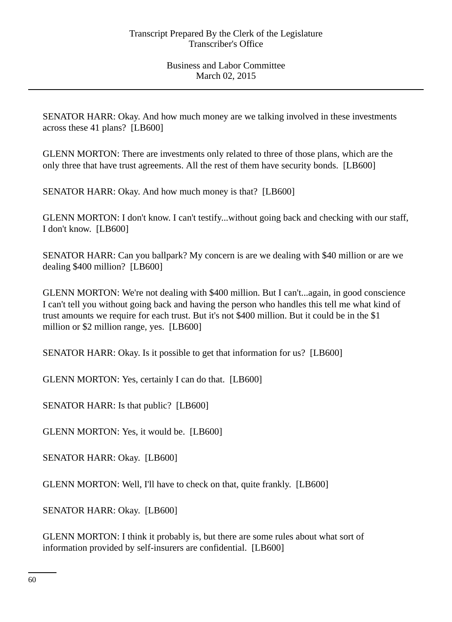SENATOR HARR: Okay. And how much money are we talking involved in these investments across these 41 plans? [LB600]

GLENN MORTON: There are investments only related to three of those plans, which are the only three that have trust agreements. All the rest of them have security bonds. [LB600]

SENATOR HARR: Okay. And how much money is that? [LB600]

GLENN MORTON: I don't know. I can't testify...without going back and checking with our staff, I don't know. [LB600]

SENATOR HARR: Can you ballpark? My concern is are we dealing with \$40 million or are we dealing \$400 million? [LB600]

GLENN MORTON: We're not dealing with \$400 million. But I can't...again, in good conscience I can't tell you without going back and having the person who handles this tell me what kind of trust amounts we require for each trust. But it's not \$400 million. But it could be in the \$1 million or \$2 million range, yes. [LB600]

SENATOR HARR: Okay. Is it possible to get that information for us? [LB600]

GLENN MORTON: Yes, certainly I can do that. [LB600]

SENATOR HARR: Is that public? [LB600]

GLENN MORTON: Yes, it would be. [LB600]

SENATOR HARR: Okay. [LB600]

GLENN MORTON: Well, I'll have to check on that, quite frankly. [LB600]

SENATOR HARR: Okay. [LB600]

GLENN MORTON: I think it probably is, but there are some rules about what sort of information provided by self-insurers are confidential. [LB600]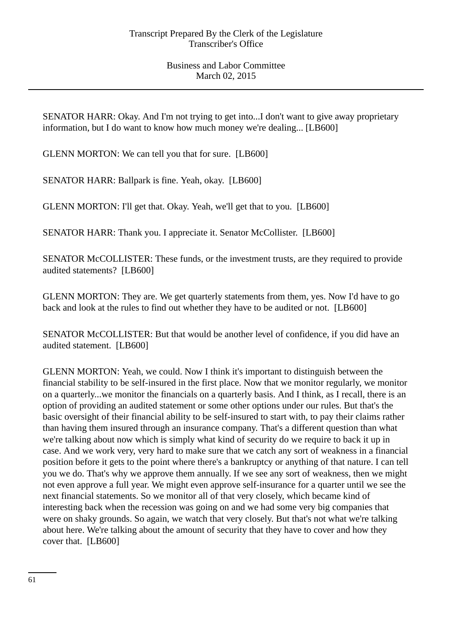SENATOR HARR: Okay. And I'm not trying to get into...I don't want to give away proprietary information, but I do want to know how much money we're dealing... [LB600]

GLENN MORTON: We can tell you that for sure. [LB600]

SENATOR HARR: Ballpark is fine. Yeah, okay. [LB600]

GLENN MORTON: I'll get that. Okay. Yeah, we'll get that to you. [LB600]

SENATOR HARR: Thank you. I appreciate it. Senator McCollister. [LB600]

SENATOR McCOLLISTER: These funds, or the investment trusts, are they required to provide audited statements? [LB600]

GLENN MORTON: They are. We get quarterly statements from them, yes. Now I'd have to go back and look at the rules to find out whether they have to be audited or not. [LB600]

SENATOR McCOLLISTER: But that would be another level of confidence, if you did have an audited statement. [LB600]

GLENN MORTON: Yeah, we could. Now I think it's important to distinguish between the financial stability to be self-insured in the first place. Now that we monitor regularly, we monitor on a quarterly...we monitor the financials on a quarterly basis. And I think, as I recall, there is an option of providing an audited statement or some other options under our rules. But that's the basic oversight of their financial ability to be self-insured to start with, to pay their claims rather than having them insured through an insurance company. That's a different question than what we're talking about now which is simply what kind of security do we require to back it up in case. And we work very, very hard to make sure that we catch any sort of weakness in a financial position before it gets to the point where there's a bankruptcy or anything of that nature. I can tell you we do. That's why we approve them annually. If we see any sort of weakness, then we might not even approve a full year. We might even approve self-insurance for a quarter until we see the next financial statements. So we monitor all of that very closely, which became kind of interesting back when the recession was going on and we had some very big companies that were on shaky grounds. So again, we watch that very closely. But that's not what we're talking about here. We're talking about the amount of security that they have to cover and how they cover that. [LB600]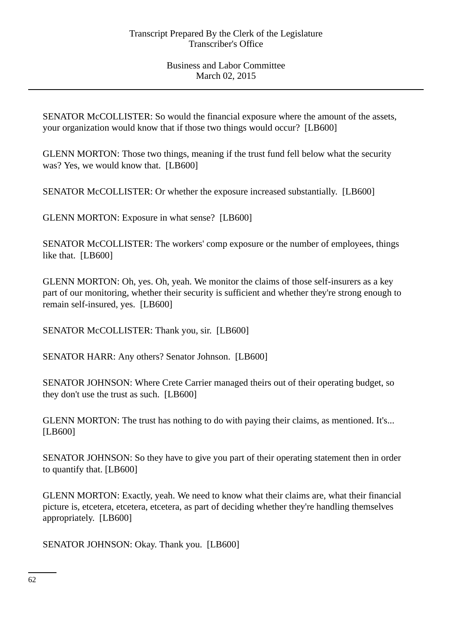SENATOR McCOLLISTER: So would the financial exposure where the amount of the assets, your organization would know that if those two things would occur? [LB600]

GLENN MORTON: Those two things, meaning if the trust fund fell below what the security was? Yes, we would know that. [LB600]

SENATOR McCOLLISTER: Or whether the exposure increased substantially. [LB600]

GLENN MORTON: Exposure in what sense? [LB600]

SENATOR McCOLLISTER: The workers' comp exposure or the number of employees, things like that. [LB600]

GLENN MORTON: Oh, yes. Oh, yeah. We monitor the claims of those self-insurers as a key part of our monitoring, whether their security is sufficient and whether they're strong enough to remain self-insured, yes. [LB600]

SENATOR McCOLLISTER: Thank you, sir. [LB600]

SENATOR HARR: Any others? Senator Johnson. [LB600]

SENATOR JOHNSON: Where Crete Carrier managed theirs out of their operating budget, so they don't use the trust as such. [LB600]

GLENN MORTON: The trust has nothing to do with paying their claims, as mentioned. It's... [LB600]

SENATOR JOHNSON: So they have to give you part of their operating statement then in order to quantify that. [LB600]

GLENN MORTON: Exactly, yeah. We need to know what their claims are, what their financial picture is, etcetera, etcetera, etcetera, as part of deciding whether they're handling themselves appropriately. [LB600]

SENATOR JOHNSON: Okay. Thank you. [LB600]